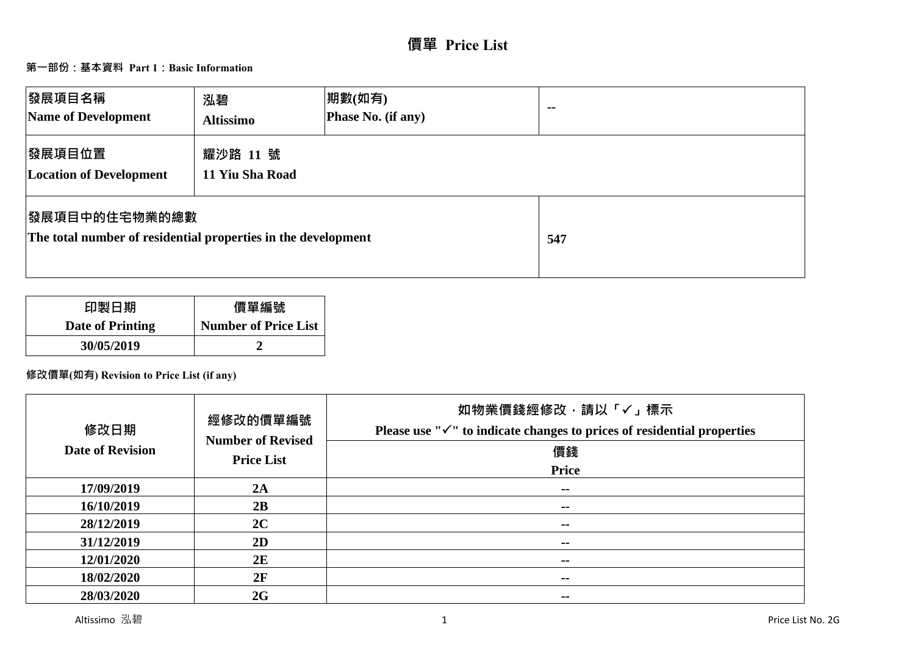# **價單 Price List**

# **第一部份:基本資料 Part 1:Basic Information**

| 發展項目名稱<br>Name of Development                                                          | 泓碧<br><b>Altissimo</b>      | 期數(如有)<br>Phase No. (if any) | $\sim$ $\sim$ |
|----------------------------------------------------------------------------------------|-----------------------------|------------------------------|---------------|
| 發展項目位置<br><b>Location of Development</b>                                               | 耀沙路 11 號<br>11 Yiu Sha Road |                              |               |
| <b> 發展項目中的住宅物業的總數</b><br>The total number of residential properties in the development |                             |                              | 547           |

| 印製日期             | 價單編號                        |
|------------------|-----------------------------|
| Date of Printing | <b>Number of Price List</b> |
| 30/05/2019       |                             |

# **修改價單(如有) Revision to Price List (if any)**

| 修改日期<br><b>Date of Revision</b> | 經修改的價單編號<br><b>Number of Revised</b><br><b>Price List</b> | 如物業價錢經修改,請以「√」標示<br>Please use " $\checkmark$ " to indicate changes to prices of residential properties<br>價錢<br><b>Price</b> |
|---------------------------------|-----------------------------------------------------------|-------------------------------------------------------------------------------------------------------------------------------|
| 17/09/2019                      | 2A                                                        | $\sim$ $-$                                                                                                                    |
| 16/10/2019                      | 2B                                                        | $- -$                                                                                                                         |
| 28/12/2019                      | 2C                                                        | --                                                                                                                            |
| 31/12/2019                      | 2D                                                        | $\sim$ $\sim$                                                                                                                 |
| 12/01/2020                      | 2E                                                        | --                                                                                                                            |
| 18/02/2020                      | 2F                                                        | $- -$                                                                                                                         |
| 28/03/2020                      | 2G                                                        | --                                                                                                                            |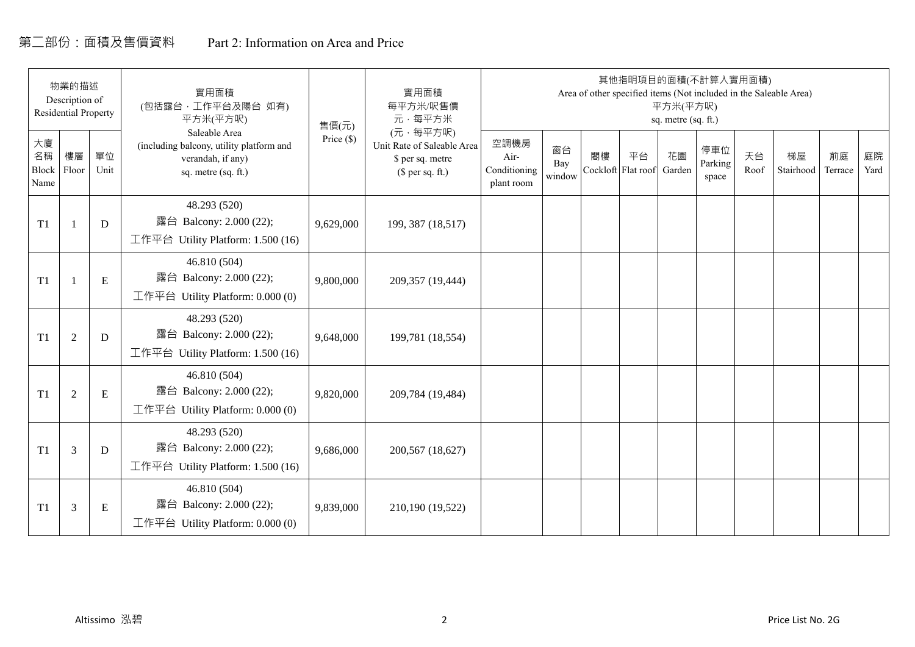# 第二部份:面積及售價資料 Part 2: Information on Area and Price

|                           | 物業的描述<br>Description of<br><b>Residential Property</b> |             | 實用面積<br>(包括露台, 工作平台及陽台 如有)<br>平方米(平方呎)                                                                | 售價(元)      | 實用面積<br>每平方米/呎售價<br>元·每平方米                                                     |                                            |                     |    | 其他指明項目的面積(不計算入實用面積)      | 平方米(平方呎)<br>sq. metre (sq. ft.) |                         |            | Area of other specified items (Not included in the Saleable Area) |               |            |
|---------------------------|--------------------------------------------------------|-------------|-------------------------------------------------------------------------------------------------------|------------|--------------------------------------------------------------------------------|--------------------------------------------|---------------------|----|--------------------------|---------------------------------|-------------------------|------------|-------------------------------------------------------------------|---------------|------------|
| 大廈<br>名稱<br>Block<br>Name | 樓層<br>Floor                                            | 單位<br>Unit  | Saleable Area<br>(including balcony, utility platform and<br>verandah, if any)<br>sq. metre (sq. ft.) | Price (\$) | (元·每平方呎)<br>Unit Rate of Saleable Area<br>\$ per sq. metre<br>$$$ per sq. ft.) | 空調機房<br>Air-<br>Conditioning<br>plant room | 窗台<br>Bay<br>window | 閣樓 | 平台<br>Cockloft Flat roof | 花園<br>Garden                    | 停車位<br>Parking<br>space | 天台<br>Roof | 梯屋<br>Stairhood                                                   | 前庭<br>Terrace | 庭院<br>Yard |
| T1                        |                                                        | D           | 48.293 (520)<br>露台 Balcony: 2.000 (22);<br>工作平台 Utility Platform: 1.500 (16)                          | 9,629,000  | 199, 387 (18,517)                                                              |                                            |                     |    |                          |                                 |                         |            |                                                                   |               |            |
| T1                        |                                                        | ${\bf E}$   | 46.810 (504)<br>露台 Balcony: 2.000 (22);<br>工作平台 Utility Platform: $0.000(0)$                          | 9,800,000  | 209,357 (19,444)                                                               |                                            |                     |    |                          |                                 |                         |            |                                                                   |               |            |
| T1                        | $\overline{2}$                                         | $\mathbf D$ | 48.293 (520)<br>露台 Balcony: 2.000 (22);<br>工作平台 Utility Platform: 1.500 (16)                          | 9,648,000  | 199,781 (18,554)                                                               |                                            |                     |    |                          |                                 |                         |            |                                                                   |               |            |
| T1                        | 2                                                      | E           | 46.810 (504)<br>露台 Balcony: 2.000 (22);<br>工作平台 Utility Platform: 0.000 (0)                           | 9,820,000  | 209,784 (19,484)                                                               |                                            |                     |    |                          |                                 |                         |            |                                                                   |               |            |
| T1                        | 3                                                      | D           | 48.293 (520)<br>露台 Balcony: 2.000 (22);<br>工作平台 Utility Platform: $1.500(16)$                         | 9,686,000  | 200,567 (18,627)                                                               |                                            |                     |    |                          |                                 |                         |            |                                                                   |               |            |
| T1                        | 3                                                      | Ε           | 46.810 (504)<br>露台 Balcony: 2.000 (22);<br>工作平台 Utility Platform: $0.000(0)$                          | 9,839,000  | 210,190 (19,522)                                                               |                                            |                     |    |                          |                                 |                         |            |                                                                   |               |            |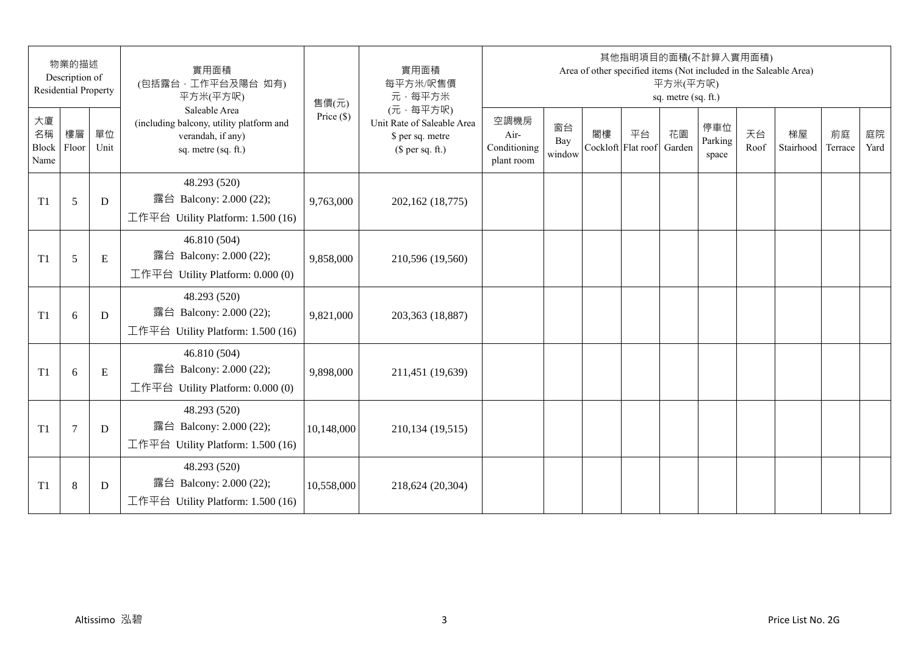|                           | 物業的描述<br>Description of<br><b>Residential Property</b> |            | 實用面積<br>(包括露台,工作平台及陽台 如有)<br>平方米(平方呎)                                                                 | 售價(元)        | 實用面積<br>每平方米/呎售價<br>元·每平方米                                                     |                                            |                     |    | 其他指明項目的面積(不計算入實用面積)      | 平方米(平方呎)<br>sq. metre (sq. ft.) |                         |            | Area of other specified items (Not included in the Saleable Area) |               |            |
|---------------------------|--------------------------------------------------------|------------|-------------------------------------------------------------------------------------------------------|--------------|--------------------------------------------------------------------------------|--------------------------------------------|---------------------|----|--------------------------|---------------------------------|-------------------------|------------|-------------------------------------------------------------------|---------------|------------|
| 大廈<br>名稱<br>Block<br>Name | 樓層<br>Floor                                            | 單位<br>Unit | Saleable Area<br>(including balcony, utility platform and<br>verandah, if any)<br>sq. metre (sq. ft.) | Price $(\$)$ | (元·每平方呎)<br>Unit Rate of Saleable Area<br>\$ per sq. metre<br>$$$ per sq. ft.) | 空調機房<br>Air-<br>Conditioning<br>plant room | 窗台<br>Bay<br>window | 閣樓 | 平台<br>Cockloft Flat roof | 花園<br>Garden                    | 停車位<br>Parking<br>space | 天台<br>Roof | 梯屋<br>Stairhood                                                   | 前庭<br>Terrace | 庭院<br>Yard |
| T <sub>1</sub>            | 5                                                      | D          | 48.293 (520)<br>露台 Balcony: 2.000 (22);<br>工作平台 Utility Platform: 1.500 (16)                          | 9,763,000    | 202,162 (18,775)                                                               |                                            |                     |    |                          |                                 |                         |            |                                                                   |               |            |
| T1                        | 5                                                      | ${\bf E}$  | 46.810 (504)<br>露台 Balcony: 2.000 (22);<br>工作平台 Utility Platform: 0.000 (0)                           | 9,858,000    | 210,596 (19,560)                                                               |                                            |                     |    |                          |                                 |                         |            |                                                                   |               |            |
| T <sub>1</sub>            | 6                                                      | D          | 48.293 (520)<br>露台 Balcony: 2.000 (22);<br>工作平台 Utility Platform: 1.500 (16)                          | 9,821,000    | 203,363 (18,887)                                                               |                                            |                     |    |                          |                                 |                         |            |                                                                   |               |            |
| T1                        | 6                                                      | ${\bf E}$  | 46.810 (504)<br>露台 Balcony: 2.000 (22);<br>工作平台 Utility Platform: 0.000 (0)                           | 9,898,000    | 211,451 (19,639)                                                               |                                            |                     |    |                          |                                 |                         |            |                                                                   |               |            |
| T1                        | $\tau$                                                 | D          | 48.293 (520)<br>露台 Balcony: 2.000 (22);<br>工作平台 Utility Platform: 1.500 (16)                          | 10,148,000   | 210,134 (19,515)                                                               |                                            |                     |    |                          |                                 |                         |            |                                                                   |               |            |
| T <sub>1</sub>            | 8                                                      | D          | 48.293 (520)<br>露台 Balcony: 2.000 (22);<br>工作平台 Utility Platform: $1.500(16)$                         | 10,558,000   | 218,624 (20,304)                                                               |                                            |                     |    |                          |                                 |                         |            |                                                                   |               |            |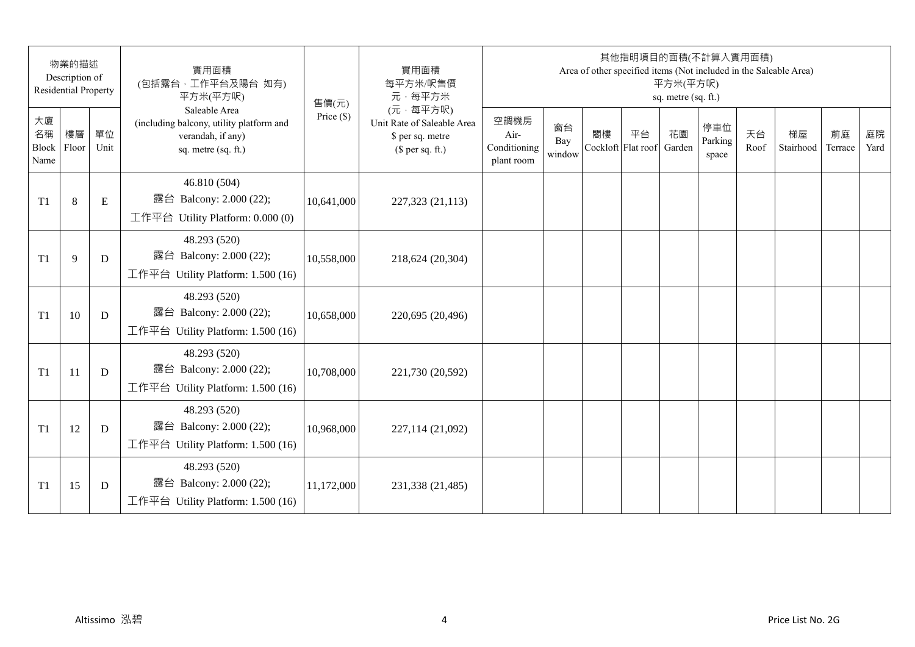|                           | 物業的描述<br>Description of<br><b>Residential Property</b> |            | 實用面積<br>(包括露台,工作平台及陽台 如有)<br>平方米(平方呎)                                                                 | 售價(元)        | 實用面積<br>每平方米/呎售價<br>元·每平方米                                                     |                                            |                     |    | 其他指明項目的面積(不計算入實用面積)      | 平方米(平方呎)<br>sq. metre (sq. ft.) |                         |            | Area of other specified items (Not included in the Saleable Area) |               |            |
|---------------------------|--------------------------------------------------------|------------|-------------------------------------------------------------------------------------------------------|--------------|--------------------------------------------------------------------------------|--------------------------------------------|---------------------|----|--------------------------|---------------------------------|-------------------------|------------|-------------------------------------------------------------------|---------------|------------|
| 大廈<br>名稱<br>Block<br>Name | 樓層<br>Floor                                            | 單位<br>Unit | Saleable Area<br>(including balcony, utility platform and<br>verandah, if any)<br>sq. metre (sq. ft.) | Price $(\$)$ | (元·每平方呎)<br>Unit Rate of Saleable Area<br>\$ per sq. metre<br>$$$ per sq. ft.) | 空調機房<br>Air-<br>Conditioning<br>plant room | 窗台<br>Bay<br>window | 閣樓 | 平台<br>Cockloft Flat roof | 花園<br>Garden                    | 停車位<br>Parking<br>space | 天台<br>Roof | 梯屋<br>Stairhood                                                   | 前庭<br>Terrace | 庭院<br>Yard |
| T <sub>1</sub>            | 8                                                      | E          | 46.810 (504)<br>露台 Balcony: 2.000 (22);<br>工作平台 Utility Platform: 0.000 (0)                           | 10,641,000   | 227,323 (21,113)                                                               |                                            |                     |    |                          |                                 |                         |            |                                                                   |               |            |
| T <sub>1</sub>            | 9                                                      | D          | 48.293 (520)<br>露台 Balcony: 2.000 (22);<br>工作平台 Utility Platform: 1.500 (16)                          | 10,558,000   | 218,624 (20,304)                                                               |                                            |                     |    |                          |                                 |                         |            |                                                                   |               |            |
| T <sub>1</sub>            | 10                                                     | D          | 48.293 (520)<br>露台 Balcony: 2.000 (22);<br>工作平台 Utility Platform: 1.500 (16)                          | 10,658,000   | 220,695 (20,496)                                                               |                                            |                     |    |                          |                                 |                         |            |                                                                   |               |            |
| T <sub>1</sub>            | 11                                                     | D          | 48.293 (520)<br>露台 Balcony: 2.000 (22);<br>工作平台 Utility Platform: 1.500 (16)                          | 10,708,000   | 221,730 (20,592)                                                               |                                            |                     |    |                          |                                 |                         |            |                                                                   |               |            |
| T1                        | 12                                                     | D          | 48.293 (520)<br>露台 Balcony: 2.000 (22);<br>工作平台 Utility Platform: 1.500 (16)                          | 10,968,000   | 227,114 (21,092)                                                               |                                            |                     |    |                          |                                 |                         |            |                                                                   |               |            |
| T <sub>1</sub>            | 15                                                     | D          | 48.293 (520)<br>露台 Balcony: 2.000 (22);<br>工作平台 Utility Platform: $1.500(16)$                         | 11,172,000   | 231,338 (21,485)                                                               |                                            |                     |    |                          |                                 |                         |            |                                                                   |               |            |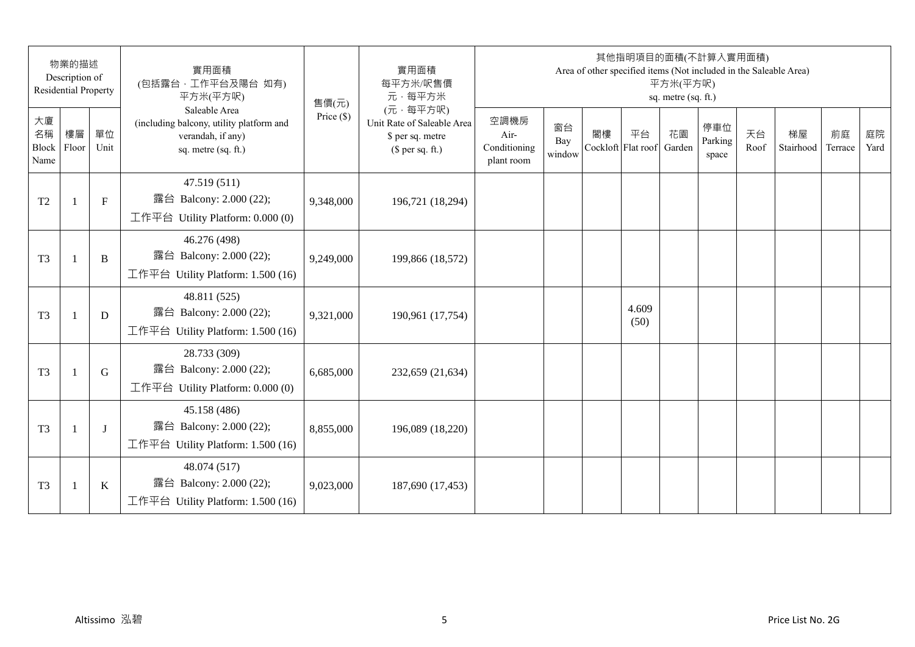|                           | 物業的描述<br>Description of<br><b>Residential Property</b> |              | 實用面積<br>(包括露台,工作平台及陽台 如有)<br>平方米(平方呎)                                                                 | 售價(元)        | 實用面積<br>每平方米/呎售價<br>元·每平方米                                                     |                                            |                     |    | 其他指明項目的面積(不計算入實用面積)<br>Area of other specified items (Not included in the Saleable Area) | 平方米(平方呎)<br>sq. metre (sq. ft.) |                         |            |                 |               |            |
|---------------------------|--------------------------------------------------------|--------------|-------------------------------------------------------------------------------------------------------|--------------|--------------------------------------------------------------------------------|--------------------------------------------|---------------------|----|------------------------------------------------------------------------------------------|---------------------------------|-------------------------|------------|-----------------|---------------|------------|
| 大廈<br>名稱<br>Block<br>Name | 樓層<br>Floor                                            | 單位<br>Unit   | Saleable Area<br>(including balcony, utility platform and<br>verandah, if any)<br>sq. metre (sq. ft.) | Price $(\$)$ | (元·每平方呎)<br>Unit Rate of Saleable Area<br>\$ per sq. metre<br>$$$ per sq. ft.) | 空調機房<br>Air-<br>Conditioning<br>plant room | 窗台<br>Bay<br>window | 閣樓 | 平台<br>Cockloft Flat roof                                                                 | 花園<br>Garden                    | 停車位<br>Parking<br>space | 天台<br>Roof | 梯屋<br>Stairhood | 前庭<br>Terrace | 庭院<br>Yard |
| T <sub>2</sub>            | $\mathbf{1}$                                           | $\mathbf{F}$ | 47.519 (511)<br>露台 Balcony: 2.000 (22);<br>工作平台 Utility Platform: 0.000 (0)                           | 9,348,000    | 196,721 (18,294)                                                               |                                            |                     |    |                                                                                          |                                 |                         |            |                 |               |            |
| T <sub>3</sub>            | $\overline{1}$                                         | B            | 46.276 (498)<br>露台 Balcony: 2.000 (22);<br>工作平台 Utility Platform: 1.500 (16)                          | 9,249,000    | 199,866 (18,572)                                                               |                                            |                     |    |                                                                                          |                                 |                         |            |                 |               |            |
| T <sub>3</sub>            | $\mathbf{1}$                                           | D            | 48.811 (525)<br>露台 Balcony: 2.000 (22);<br>工作平台 Utility Platform: 1.500 (16)                          | 9,321,000    | 190,961 (17,754)                                                               |                                            |                     |    | 4.609<br>(50)                                                                            |                                 |                         |            |                 |               |            |
| T <sub>3</sub>            | $\mathbf{1}$                                           | G            | 28.733 (309)<br>露台 Balcony: 2.000 (22);<br>工作平台 Utility Platform: 0.000 (0)                           | 6,685,000    | 232,659 (21,634)                                                               |                                            |                     |    |                                                                                          |                                 |                         |            |                 |               |            |
| T <sub>3</sub>            |                                                        | $\bf{J}$     | 45.158 (486)<br>露台 Balcony: 2.000 (22);<br>工作平台 Utility Platform: 1.500 (16)                          | 8,855,000    | 196,089 (18,220)                                                               |                                            |                     |    |                                                                                          |                                 |                         |            |                 |               |            |
| T <sub>3</sub>            | $\overline{1}$                                         | $\bf K$      | 48.074 (517)<br>露台 Balcony: 2.000 (22);<br>工作平台 Utility Platform: 1.500 (16)                          | 9,023,000    | 187,690 (17,453)                                                               |                                            |                     |    |                                                                                          |                                 |                         |            |                 |               |            |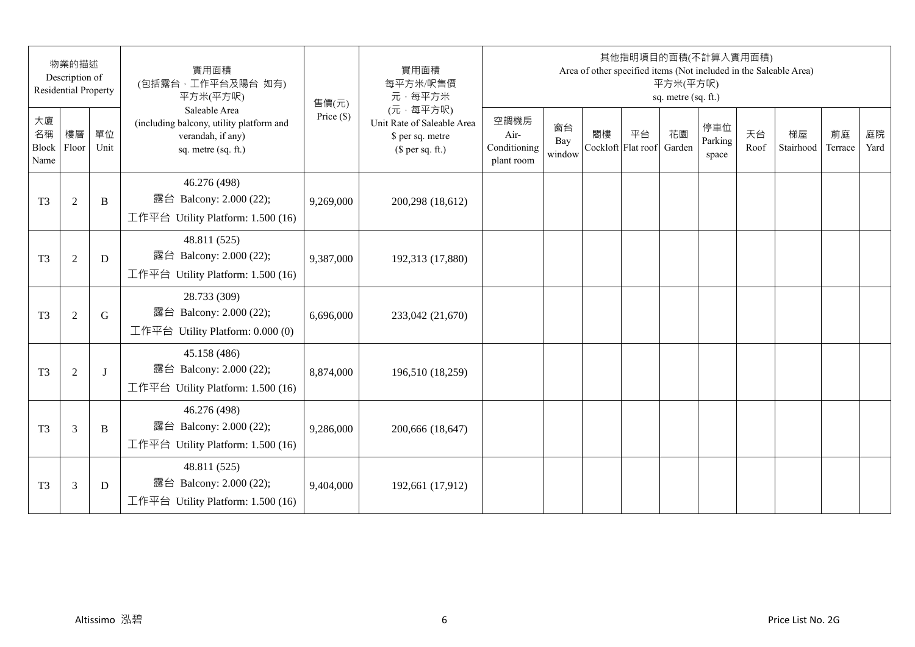|                           | 物業的描述<br>Description of<br><b>Residential Property</b> |              | 實用面積<br>(包括露台,工作平台及陽台 如有)<br>平方米(平方呎)                                                                 | 售價(元)        | 實用面積<br>每平方米/呎售價<br>元·每平方米                                                     |                                            |                     |    | 其他指明項目的面積(不計算入實用面積)      | 平方米(平方呎)<br>sq. metre (sq. ft.) |                         |            | Area of other specified items (Not included in the Saleable Area) |               |            |
|---------------------------|--------------------------------------------------------|--------------|-------------------------------------------------------------------------------------------------------|--------------|--------------------------------------------------------------------------------|--------------------------------------------|---------------------|----|--------------------------|---------------------------------|-------------------------|------------|-------------------------------------------------------------------|---------------|------------|
| 大廈<br>名稱<br>Block<br>Name | 樓層<br>Floor                                            | 單位<br>Unit   | Saleable Area<br>(including balcony, utility platform and<br>verandah, if any)<br>sq. metre (sq. ft.) | Price $(\$)$ | (元·每平方呎)<br>Unit Rate of Saleable Area<br>\$ per sq. metre<br>$$$ per sq. ft.) | 空調機房<br>Air-<br>Conditioning<br>plant room | 窗台<br>Bay<br>window | 閣樓 | 平台<br>Cockloft Flat roof | 花園<br>Garden                    | 停車位<br>Parking<br>space | 天台<br>Roof | 梯屋<br>Stairhood                                                   | 前庭<br>Terrace | 庭院<br>Yard |
| T <sub>3</sub>            | $\overline{2}$                                         | B            | 46.276 (498)<br>露台 Balcony: 2.000 (22);<br>工作平台 Utility Platform: 1.500 (16)                          | 9,269,000    | 200,298 (18,612)                                                               |                                            |                     |    |                          |                                 |                         |            |                                                                   |               |            |
| T <sub>3</sub>            | $\overline{2}$                                         | D            | 48.811 (525)<br>露台 Balcony: 2.000 (22);<br>工作平台 Utility Platform: 1.500 (16)                          | 9,387,000    | 192,313 (17,880)                                                               |                                            |                     |    |                          |                                 |                         |            |                                                                   |               |            |
| T <sub>3</sub>            | $\overline{2}$                                         | G            | 28.733 (309)<br>露台 Balcony: 2.000 (22);<br>工作平台 Utility Platform: $0.000(0)$                          | 6,696,000    | 233,042 (21,670)                                                               |                                            |                     |    |                          |                                 |                         |            |                                                                   |               |            |
| T <sub>3</sub>            | $\overline{2}$                                         | $\mathbf{I}$ | 45.158 (486)<br>露台 Balcony: 2.000 (22);<br>工作平台 Utility Platform: 1.500 (16)                          | 8,874,000    | 196,510 (18,259)                                                               |                                            |                     |    |                          |                                 |                         |            |                                                                   |               |            |
| T <sub>3</sub>            | 3                                                      | B            | 46.276 (498)<br>露台 Balcony: 2.000 (22);<br>工作平台 Utility Platform: 1.500 (16)                          | 9,286,000    | 200,666 (18,647)                                                               |                                            |                     |    |                          |                                 |                         |            |                                                                   |               |            |
| T <sub>3</sub>            | 3                                                      | D            | 48.811 (525)<br>露台 Balcony: 2.000 (22);<br>工作平台 Utility Platform: $1.500(16)$                         | 9,404,000    | 192,661 (17,912)                                                               |                                            |                     |    |                          |                                 |                         |            |                                                                   |               |            |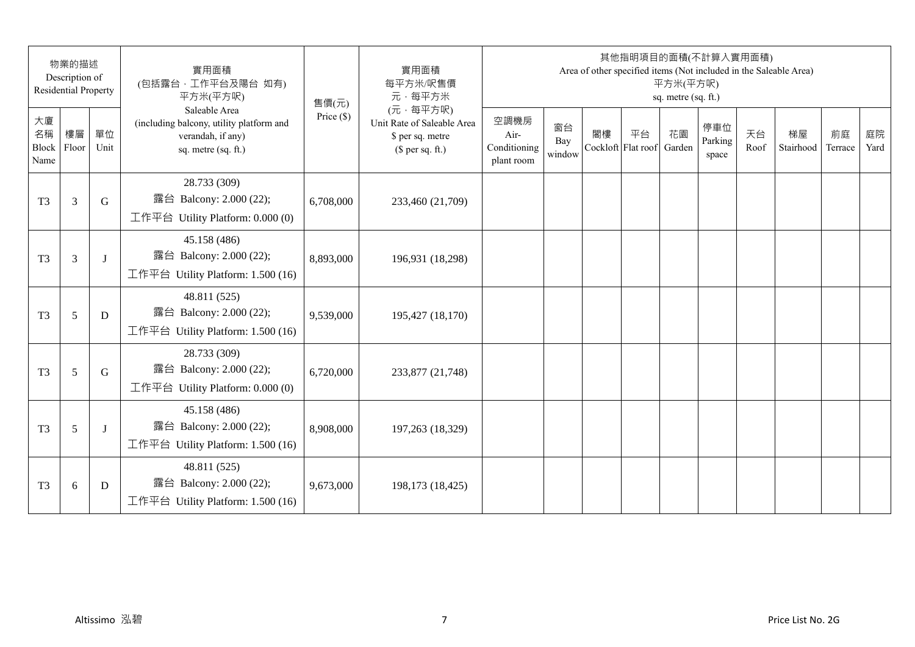|                           | 物業的描述<br>Description of<br><b>Residential Property</b> |            | 實用面積<br>(包括露台,工作平台及陽台 如有)<br>平方米(平方呎)                                                                 | 售價(元)        | 實用面積<br>每平方米/呎售價<br>元·每平方米                                                     |                                            |                     |    | 其他指明項目的面積(不計算入實用面積)      | 平方米(平方呎)<br>sq. metre (sq. ft.) |                         |            | Area of other specified items (Not included in the Saleable Area) |               |            |
|---------------------------|--------------------------------------------------------|------------|-------------------------------------------------------------------------------------------------------|--------------|--------------------------------------------------------------------------------|--------------------------------------------|---------------------|----|--------------------------|---------------------------------|-------------------------|------------|-------------------------------------------------------------------|---------------|------------|
| 大廈<br>名稱<br>Block<br>Name | 樓層<br>Floor                                            | 單位<br>Unit | Saleable Area<br>(including balcony, utility platform and<br>verandah, if any)<br>sq. metre (sq. ft.) | Price $(\$)$ | (元·每平方呎)<br>Unit Rate of Saleable Area<br>\$ per sq. metre<br>$$$ per sq. ft.) | 空調機房<br>Air-<br>Conditioning<br>plant room | 窗台<br>Bay<br>window | 閣樓 | 平台<br>Cockloft Flat roof | 花園<br>Garden                    | 停車位<br>Parking<br>space | 天台<br>Roof | 梯屋<br>Stairhood                                                   | 前庭<br>Terrace | 庭院<br>Yard |
| T <sub>3</sub>            | 3                                                      | G          | 28.733 (309)<br>露台 Balcony: 2.000 (22);<br>工作平台 Utility Platform: 0.000 (0)                           | 6,708,000    | 233,460 (21,709)                                                               |                                            |                     |    |                          |                                 |                         |            |                                                                   |               |            |
| T <sub>3</sub>            | $\overline{3}$                                         | J          | 45.158 (486)<br>露台 Balcony: 2.000 (22);<br>工作平台 Utility Platform: 1.500 (16)                          | 8,893,000    | 196,931 (18,298)                                                               |                                            |                     |    |                          |                                 |                         |            |                                                                   |               |            |
| T <sub>3</sub>            | 5                                                      | D          | 48.811 (525)<br>露台 Balcony: 2.000 (22);<br>工作平台 Utility Platform: 1.500 (16)                          | 9,539,000    | 195,427 (18,170)                                                               |                                            |                     |    |                          |                                 |                         |            |                                                                   |               |            |
| T <sub>3</sub>            | 5                                                      | G          | 28.733 (309)<br>露台 Balcony: 2.000 (22);<br>工作平台 Utility Platform: 0.000 (0)                           | 6,720,000    | 233,877 (21,748)                                                               |                                            |                     |    |                          |                                 |                         |            |                                                                   |               |            |
| T <sub>3</sub>            | 5                                                      | J          | 45.158 (486)<br>露台 Balcony: 2.000 (22);<br>工作平台 Utility Platform: 1.500 (16)                          | 8,908,000    | 197,263 (18,329)                                                               |                                            |                     |    |                          |                                 |                         |            |                                                                   |               |            |
| T <sub>3</sub>            | 6                                                      | D          | 48.811 (525)<br>露台 Balcony: 2.000 (22);<br>工作平台 Utility Platform: $1.500(16)$                         | 9,673,000    | 198,173 (18,425)                                                               |                                            |                     |    |                          |                                 |                         |            |                                                                   |               |            |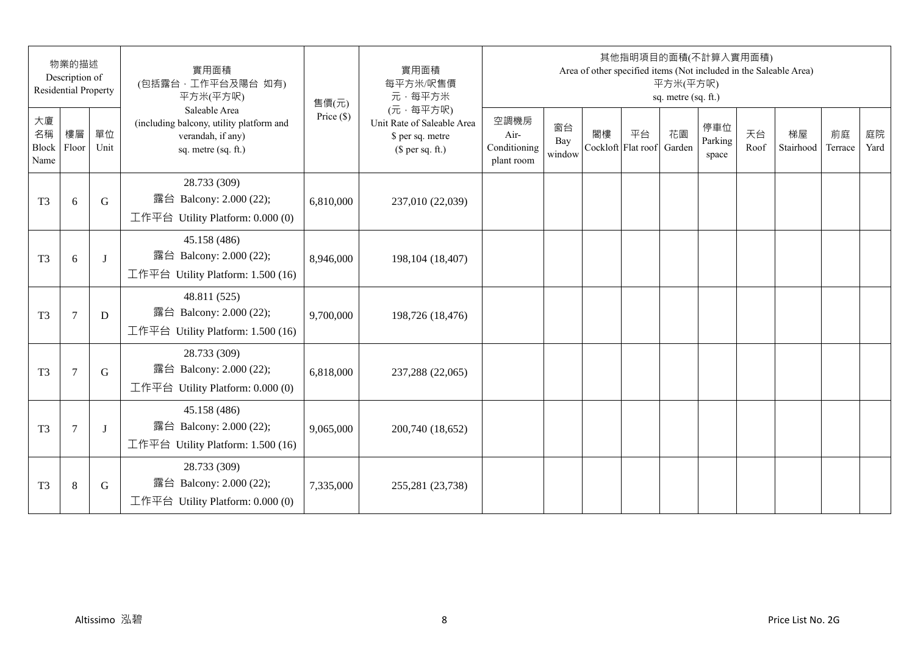|                           | 物業的描述<br>Description of<br><b>Residential Property</b> |            | 實用面積<br>(包括露台,工作平台及陽台 如有)<br>平方米(平方呎)                                                                 | 售價(元)        | 實用面積<br>每平方米/呎售價<br>元·每平方米                                                     |                                            |                     |    | 其他指明項目的面積(不計算入實用面積)<br>Area of other specified items (Not included in the Saleable Area) | 平方米(平方呎)<br>sq. metre (sq. ft.) |                         |            |                 |               |            |
|---------------------------|--------------------------------------------------------|------------|-------------------------------------------------------------------------------------------------------|--------------|--------------------------------------------------------------------------------|--------------------------------------------|---------------------|----|------------------------------------------------------------------------------------------|---------------------------------|-------------------------|------------|-----------------|---------------|------------|
| 大廈<br>名稱<br>Block<br>Name | 樓層<br>Floor                                            | 單位<br>Unit | Saleable Area<br>(including balcony, utility platform and<br>verandah, if any)<br>sq. metre (sq. ft.) | Price $(\$)$ | (元·每平方呎)<br>Unit Rate of Saleable Area<br>\$ per sq. metre<br>$$$ per sq. ft.) | 空調機房<br>Air-<br>Conditioning<br>plant room | 窗台<br>Bay<br>window | 閣樓 | 平台<br>Cockloft Flat roof                                                                 | 花園<br>Garden                    | 停車位<br>Parking<br>space | 天台<br>Roof | 梯屋<br>Stairhood | 前庭<br>Terrace | 庭院<br>Yard |
| T <sub>3</sub>            | 6                                                      | G          | 28.733 (309)<br>露台 Balcony: 2.000 (22);<br>工作平台 Utility Platform: $0.000(0)$                          | 6,810,000    | 237,010 (22,039)                                                               |                                            |                     |    |                                                                                          |                                 |                         |            |                 |               |            |
| T <sub>3</sub>            | 6                                                      | J          | 45.158 (486)<br>露台 Balcony: 2.000 (22);<br>工作平台 Utility Platform: 1.500 (16)                          | 8,946,000    | 198,104 (18,407)                                                               |                                            |                     |    |                                                                                          |                                 |                         |            |                 |               |            |
| T <sub>3</sub>            | $\tau$                                                 | D          | 48.811 (525)<br>露台 Balcony: 2.000 (22);<br>工作平台 Utility Platform: 1.500 (16)                          | 9,700,000    | 198,726 (18,476)                                                               |                                            |                     |    |                                                                                          |                                 |                         |            |                 |               |            |
| T <sub>3</sub>            | $\tau$                                                 | G          | 28.733 (309)<br>露台 Balcony: 2.000 (22);<br>工作平台 Utility Platform: $0.000(0)$                          | 6,818,000    | 237,288 (22,065)                                                               |                                            |                     |    |                                                                                          |                                 |                         |            |                 |               |            |
| T <sub>3</sub>            | $\overline{7}$                                         | J          | 45.158 (486)<br>露台 Balcony: 2.000 (22);<br>工作平台 Utility Platform: 1.500 (16)                          | 9,065,000    | 200,740 (18,652)                                                               |                                            |                     |    |                                                                                          |                                 |                         |            |                 |               |            |
| T <sub>3</sub>            | 8                                                      | G          | 28.733 (309)<br>露台 Balcony: 2.000 (22);<br>工作平台 Utility Platform: $0.000(0)$                          | 7,335,000    | 255,281 (23,738)                                                               |                                            |                     |    |                                                                                          |                                 |                         |            |                 |               |            |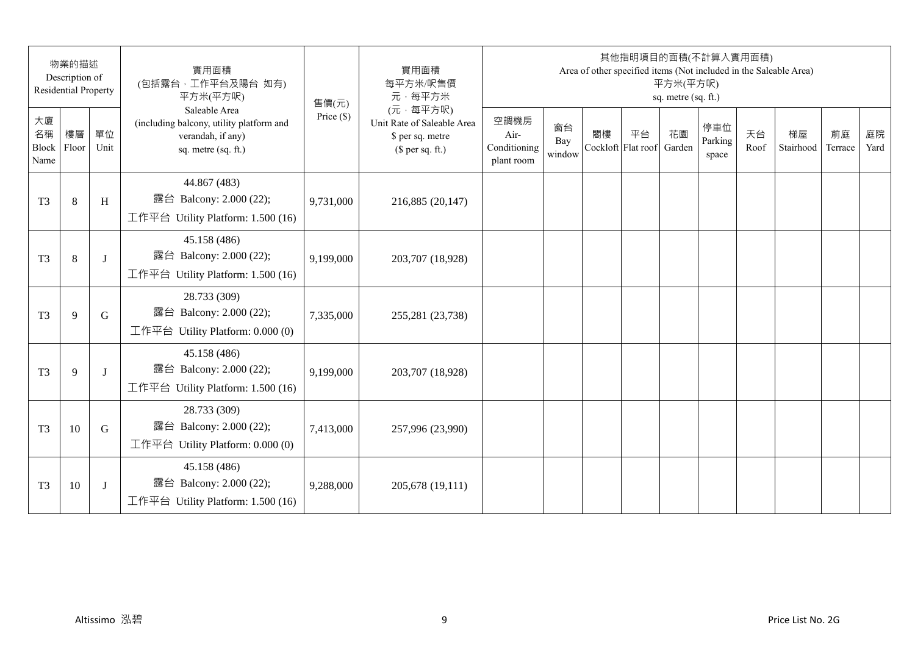|                           | 物業的描述<br>Description of<br><b>Residential Property</b> |              | 實用面積<br>(包括露台,工作平台及陽台 如有)<br>平方米(平方呎)                                                                 | 售價(元)        | 實用面積<br>每平方米/呎售價<br>元·每平方米                                                     |                                            |                     |    | 其他指明項目的面積(不計算入實用面積)      | 平方米(平方呎)<br>sq. metre (sq. ft.) |                         |            | Area of other specified items (Not included in the Saleable Area) |               |            |
|---------------------------|--------------------------------------------------------|--------------|-------------------------------------------------------------------------------------------------------|--------------|--------------------------------------------------------------------------------|--------------------------------------------|---------------------|----|--------------------------|---------------------------------|-------------------------|------------|-------------------------------------------------------------------|---------------|------------|
| 大廈<br>名稱<br>Block<br>Name | 樓層<br>Floor                                            | 單位<br>Unit   | Saleable Area<br>(including balcony, utility platform and<br>verandah, if any)<br>sq. metre (sq. ft.) | Price $(\$)$ | (元·每平方呎)<br>Unit Rate of Saleable Area<br>\$ per sq. metre<br>$$$ per sq. ft.) | 空調機房<br>Air-<br>Conditioning<br>plant room | 窗台<br>Bay<br>window | 閣樓 | 平台<br>Cockloft Flat roof | 花園<br>Garden                    | 停車位<br>Parking<br>space | 天台<br>Roof | 梯屋<br>Stairhood                                                   | 前庭<br>Terrace | 庭院<br>Yard |
| T <sub>3</sub>            | 8                                                      | H            | 44.867 (483)<br>露台 Balcony: 2.000 (22);<br>工作平台 Utility Platform: 1.500 (16)                          | 9,731,000    | 216,885 (20,147)                                                               |                                            |                     |    |                          |                                 |                         |            |                                                                   |               |            |
| T <sub>3</sub>            | 8                                                      | J            | 45.158 (486)<br>露台 Balcony: 2.000 (22);<br>工作平台 Utility Platform: 1.500 (16)                          | 9,199,000    | 203,707 (18,928)                                                               |                                            |                     |    |                          |                                 |                         |            |                                                                   |               |            |
| T <sub>3</sub>            | 9                                                      | G            | 28.733 (309)<br>露台 Balcony: 2.000 (22);<br>工作平台 Utility Platform: $0.000(0)$                          | 7,335,000    | 255,281 (23,738)                                                               |                                            |                     |    |                          |                                 |                         |            |                                                                   |               |            |
| T <sub>3</sub>            | 9                                                      | $\mathbf{I}$ | 45.158 (486)<br>露台 Balcony: 2.000 (22);<br>工作平台 Utility Platform: 1.500 (16)                          | 9,199,000    | 203,707 (18,928)                                                               |                                            |                     |    |                          |                                 |                         |            |                                                                   |               |            |
| T <sub>3</sub>            | 10                                                     | G            | 28.733 (309)<br>露台 Balcony: 2.000 (22);<br>工作平台 Utility Platform: $0.000(0)$                          | 7,413,000    | 257,996 (23,990)                                                               |                                            |                     |    |                          |                                 |                         |            |                                                                   |               |            |
| T <sub>3</sub>            | 10                                                     | J            | 45.158 (486)<br>露台 Balcony: 2.000 (22);<br>工作平台 Utility Platform: $1.500(16)$                         | 9,288,000    | 205,678 (19,111)                                                               |                                            |                     |    |                          |                                 |                         |            |                                                                   |               |            |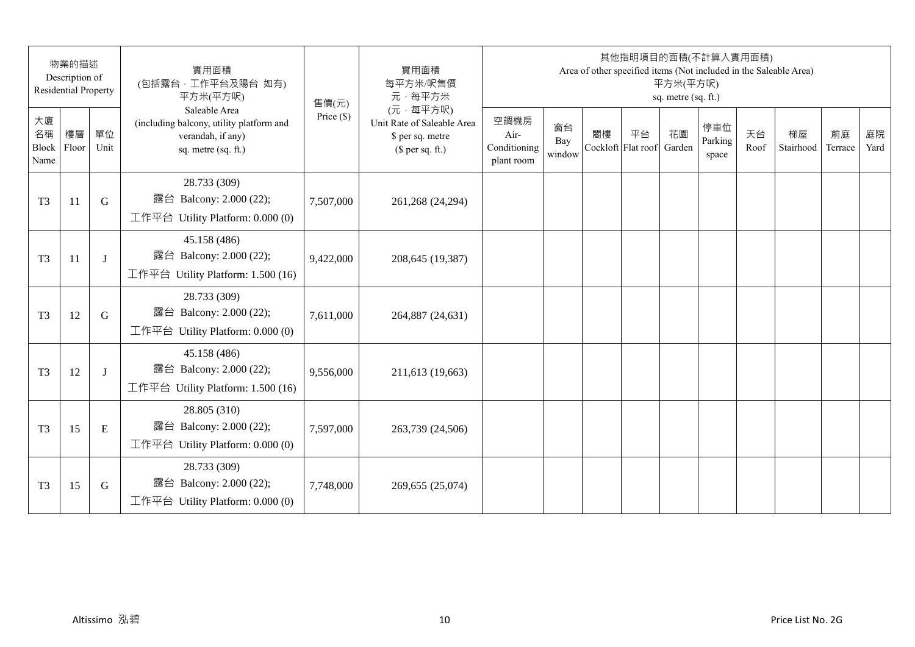|                           | 物業的描述<br>Description of<br><b>Residential Property</b> |            | 實用面積<br>(包括露台,工作平台及陽台 如有)<br>平方米(平方呎)                                                                 | 售價(元)        | 實用面積<br>每平方米/呎售價<br>元·每平方米                                                     |                                            |                     |    | 其他指明項目的面積(不計算入實用面積)      | 平方米(平方呎)<br>sq. metre (sq. ft.) |                         |            | Area of other specified items (Not included in the Saleable Area) |               |            |
|---------------------------|--------------------------------------------------------|------------|-------------------------------------------------------------------------------------------------------|--------------|--------------------------------------------------------------------------------|--------------------------------------------|---------------------|----|--------------------------|---------------------------------|-------------------------|------------|-------------------------------------------------------------------|---------------|------------|
| 大廈<br>名稱<br>Block<br>Name | 樓層<br>Floor                                            | 單位<br>Unit | Saleable Area<br>(including balcony, utility platform and<br>verandah, if any)<br>sq. metre (sq. ft.) | Price $(\$)$ | (元·每平方呎)<br>Unit Rate of Saleable Area<br>\$ per sq. metre<br>$$$ per sq. ft.) | 空調機房<br>Air-<br>Conditioning<br>plant room | 窗台<br>Bay<br>window | 閣樓 | 平台<br>Cockloft Flat roof | 花園<br>Garden                    | 停車位<br>Parking<br>space | 天台<br>Roof | 梯屋<br>Stairhood                                                   | 前庭<br>Terrace | 庭院<br>Yard |
| T <sub>3</sub>            | 11                                                     | G          | 28.733 (309)<br>露台 Balcony: 2.000 (22);<br>工作平台 Utility Platform: 0.000 (0)                           | 7,507,000    | 261,268 (24,294)                                                               |                                            |                     |    |                          |                                 |                         |            |                                                                   |               |            |
| T <sub>3</sub>            | 11                                                     | J          | 45.158 (486)<br>露台 Balcony: 2.000 (22);<br>工作平台 Utility Platform: 1.500 (16)                          | 9,422,000    | 208,645 (19,387)                                                               |                                            |                     |    |                          |                                 |                         |            |                                                                   |               |            |
| T <sub>3</sub>            | 12                                                     | G          | 28.733 (309)<br>露台 Balcony: 2.000 (22);<br>工作平台 Utility Platform: $0.000(0)$                          | 7,611,000    | 264,887 (24,631)                                                               |                                            |                     |    |                          |                                 |                         |            |                                                                   |               |            |
| T <sub>3</sub>            | 12                                                     | J          | 45.158 (486)<br>露台 Balcony: 2.000 (22);<br>工作平台 Utility Platform: 1.500 (16)                          | 9,556,000    | 211,613 (19,663)                                                               |                                            |                     |    |                          |                                 |                         |            |                                                                   |               |            |
| T <sub>3</sub>            | 15                                                     | E          | 28.805 (310)<br>露台 Balcony: 2.000 (22);<br>工作平台 Utility Platform: $0.000(0)$                          | 7,597,000    | 263,739 (24,506)                                                               |                                            |                     |    |                          |                                 |                         |            |                                                                   |               |            |
| T <sub>3</sub>            | 15                                                     | G          | 28.733 (309)<br>露台 Balcony: 2.000 (22);<br>工作平台 Utility Platform: $0.000(0)$                          | 7,748,000    | 269,655 (25,074)                                                               |                                            |                     |    |                          |                                 |                         |            |                                                                   |               |            |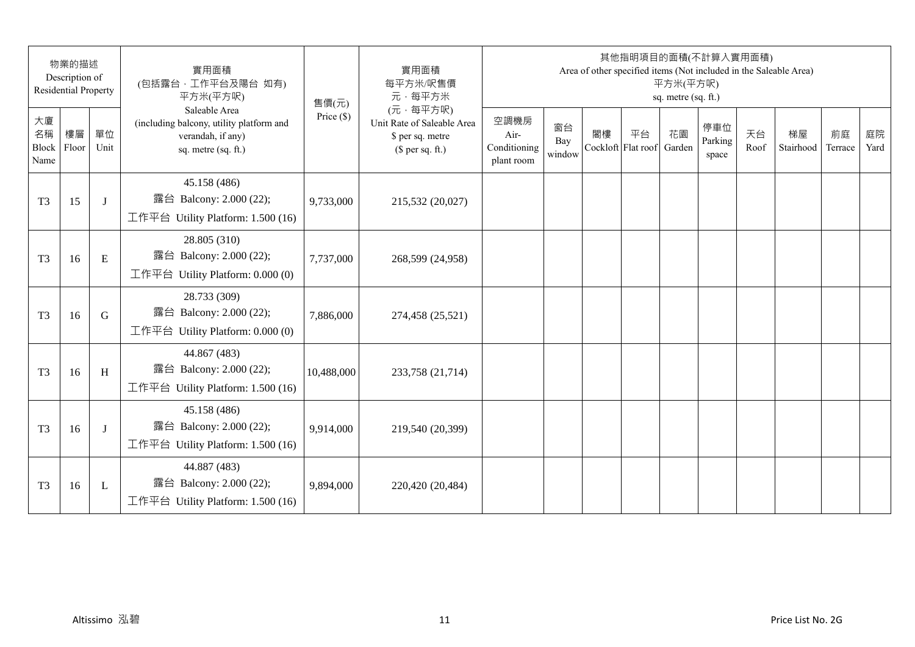| 物業的描述<br>Description of<br><b>Residential Property</b> |             | 實用面積<br>(包括露台,工作平台及陽台 如有)<br>平方米(平方呎) | 售價(元)                                                                                                 | 實用面積<br>每平方米/呎售價<br>元·每平方米 | 其他指明項目的面積(不計算入實用面積)<br>Area of other specified items (Not included in the Saleable Area)<br>平方米(平方呎)<br>sq. metre (sq. ft.) |                                            |                     |    |                          |              |                         |            |                 |               |            |
|--------------------------------------------------------|-------------|---------------------------------------|-------------------------------------------------------------------------------------------------------|----------------------------|-----------------------------------------------------------------------------------------------------------------------------|--------------------------------------------|---------------------|----|--------------------------|--------------|-------------------------|------------|-----------------|---------------|------------|
| 大廈<br>名稱<br>Block<br>Name                              | 樓層<br>Floor | 單位<br>Unit                            | Saleable Area<br>(including balcony, utility platform and<br>verandah, if any)<br>sq. metre (sq. ft.) | Price $(\$)$               | (元·每平方呎)<br>Unit Rate of Saleable Area<br>\$ per sq. metre<br>$$$ per sq. ft.)                                              | 空調機房<br>Air-<br>Conditioning<br>plant room | 窗台<br>Bay<br>window | 閣樓 | 平台<br>Cockloft Flat roof | 花園<br>Garden | 停車位<br>Parking<br>space | 天台<br>Roof | 梯屋<br>Stairhood | 前庭<br>Terrace | 庭院<br>Yard |
| T <sub>3</sub>                                         | 15          | J                                     | 45.158 (486)<br>露台 Balcony: 2.000 (22);<br>工作平台 Utility Platform: 1.500 (16)                          | 9,733,000                  | 215,532 (20,027)                                                                                                            |                                            |                     |    |                          |              |                         |            |                 |               |            |
| T <sub>3</sub>                                         | 16          | E                                     | 28.805 (310)<br>露台 Balcony: 2.000 (22);<br>工作平台 Utility Platform: 0.000 (0)                           | 7,737,000                  | 268,599 (24,958)                                                                                                            |                                            |                     |    |                          |              |                         |            |                 |               |            |
| T <sub>3</sub>                                         | 16          | G                                     | 28.733 (309)<br>露台 Balcony: 2.000 (22);<br>工作平台 Utility Platform: $0.000(0)$                          | 7,886,000                  | 274,458 (25,521)                                                                                                            |                                            |                     |    |                          |              |                         |            |                 |               |            |
| T <sub>3</sub>                                         | 16          | H                                     | 44.867 (483)<br>露台 Balcony: 2.000 (22);<br>工作平台 Utility Platform: 1.500 (16)                          | 10,488,000                 | 233,758 (21,714)                                                                                                            |                                            |                     |    |                          |              |                         |            |                 |               |            |
| T <sub>3</sub>                                         | 16          | J                                     | 45.158 (486)<br>露台 Balcony: 2.000 (22);<br>工作平台 Utility Platform: 1.500 (16)                          | 9,914,000                  | 219,540 (20,399)                                                                                                            |                                            |                     |    |                          |              |                         |            |                 |               |            |
| T <sub>3</sub>                                         | 16          | L                                     | 44.887 (483)<br>露台 Balcony: 2.000 (22);<br>工作平台 Utility Platform: $1.500(16)$                         | 9,894,000                  | 220,420 (20,484)                                                                                                            |                                            |                     |    |                          |              |                         |            |                 |               |            |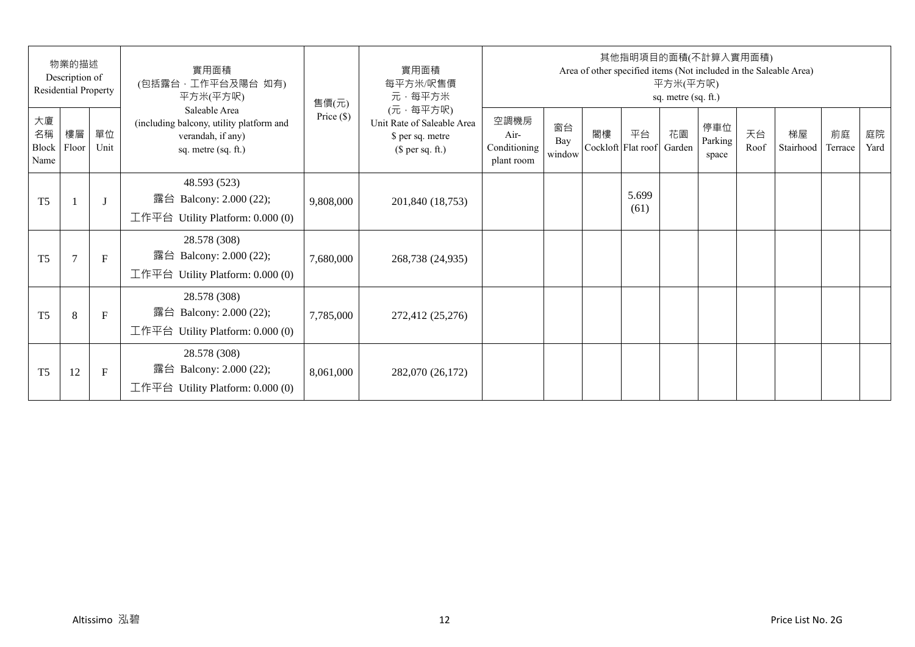| 物業的描述<br>Description of<br>Residential Property |                |              | 實用面積<br>(包括露台,工作平台及陽台 如有)<br>平方米(平方呎)                                                                 | 售價(元)        | 實用面積<br>每平方米/呎售價<br>元·每平方米                                                     | 其他指明項目的面積(不計算入實用面積)<br>Area of other specified items (Not included in the Saleable Area)<br>平方米(平方呎)<br>sq. metre (sq. ft.) |                     |    |                          |              |                         |            |                 |               |            |  |
|-------------------------------------------------|----------------|--------------|-------------------------------------------------------------------------------------------------------|--------------|--------------------------------------------------------------------------------|-----------------------------------------------------------------------------------------------------------------------------|---------------------|----|--------------------------|--------------|-------------------------|------------|-----------------|---------------|------------|--|
| 大廈<br>名稱<br>Block<br>Name                       | 樓層<br>Floor    | 單位<br>Unit   | Saleable Area<br>(including balcony, utility platform and<br>verandah, if any)<br>sq. metre (sq. ft.) | Price $(\$)$ | (元·每平方呎)<br>Unit Rate of Saleable Area<br>\$ per sq. metre<br>$$$ per sq. ft.) | 空調機房<br>Air-<br>Conditioning<br>plant room                                                                                  | 窗台<br>Bay<br>window | 閣樓 | 平台<br>Cockloft Flat roof | 花園<br>Garden | 停車位<br>Parking<br>space | 天台<br>Roof | 梯屋<br>Stairhood | 前庭<br>Terrace | 庭院<br>Yard |  |
| T <sub>5</sub>                                  |                | $\mathbf{J}$ | 48.593 (523)<br>露台 Balcony: 2.000 (22);<br>工作平台 Utility Platform: 0.000 (0)                           | 9,808,000    | 201,840 (18,753)                                                               |                                                                                                                             |                     |    | 5.699<br>(61)            |              |                         |            |                 |               |            |  |
| T <sub>5</sub>                                  | $\overline{7}$ | $\mathbf{F}$ | 28.578 (308)<br>露台 Balcony: 2.000 (22);<br>工作平台 Utility Platform: $0.000(0)$                          | 7,680,000    | 268,738 (24,935)                                                               |                                                                                                                             |                     |    |                          |              |                         |            |                 |               |            |  |
| T <sub>5</sub>                                  | 8              | $\mathbf{F}$ | 28.578 (308)<br>露台 Balcony: 2.000 (22);<br>工作平台 Utility Platform: $0.000(0)$                          | 7,785,000    | 272,412 (25,276)                                                               |                                                                                                                             |                     |    |                          |              |                         |            |                 |               |            |  |
| T <sub>5</sub>                                  | 12             | F            | 28.578 (308)<br>Balcony: 2.000 (22);<br>露台<br>工作平台 Utility Platform: $0.000(0)$                       | 8,061,000    | 282,070 (26,172)                                                               |                                                                                                                             |                     |    |                          |              |                         |            |                 |               |            |  |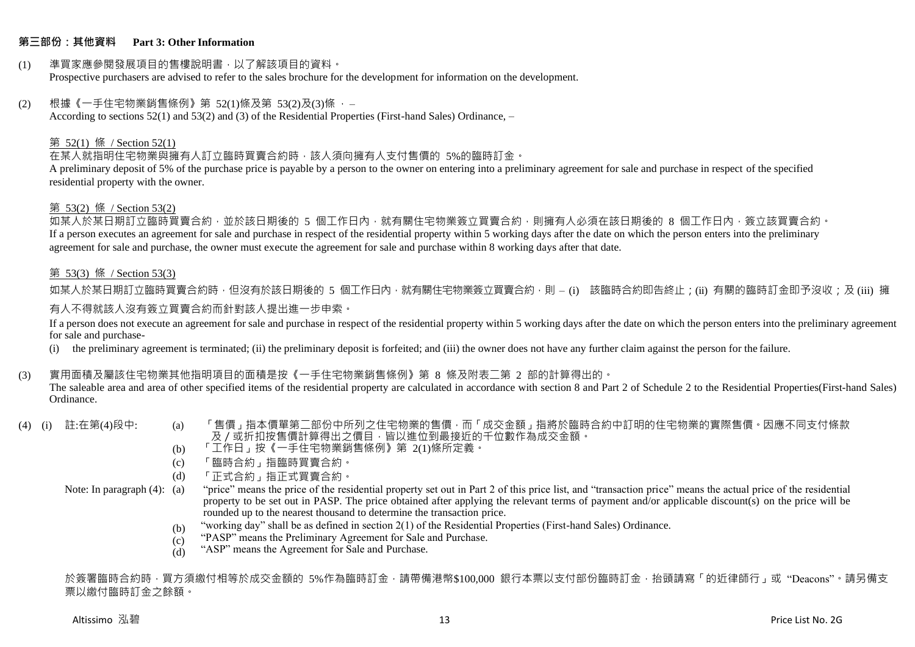## **第三部份:其他資料 Part 3: Other Information**

#### (1) 準買家應參閱發展項目的售樓說明書,以了解該項目的資料。 Prospective purchasers are advised to refer to the sales brochure for the development for information on the development.

#### $(2)$  根據《一手住宅物業銷售條例》第 52(1)條及第 53(2)及(3)條,

According to sections 52(1) and 53(2) and (3) of the Residential Properties (First-hand Sales) Ordinance, –

#### 第 52(1) 條 / Section 52(1)

在某人就指明住宅物業與擁有人訂立臨時買賣合約時,該人須向擁有人支付售價的 5%的臨時訂金。

A preliminary deposit of 5% of the purchase price is payable by a person to the owner on entering into a preliminary agreement for sale and purchase in respect of the specified residential property with the owner.

#### 第 53(2) 條 / Section 53(2)

如某人於某日期訂立臨時買賣合約,並於該日期後的 5 個工作日內,就有關住宅物業簽立買賣合約,則擁有人必須在該日期後的 8 個工作日內,簽立該買賣合約。 If a person executes an agreement for sale and purchase in respect of the residential property within 5 working days after the date on which the person enters into the preliminary agreement for sale and purchase, the owner must execute the agreement for sale and purchase within 8 working days after that date.

#### 第 53(3) 條 / Section 53(3)

如某人於某日期訂立臨時買賣合約時,但沒有於該日期後的 5 個工作日內,就有關住宅物業簽立買賣合約,則 – (i) 該臨時合約即告終止;(ii) 有關的臨時訂金即予沒收;及 (iii) 擁 有人不得就該人沒有簽立買賣合約而針對該人提出進一步申索。

If a person does not execute an agreement for sale and purchase in respect of the residential property within 5 working days after the date on which the person enters into the preliminary agreement for sale and purchase-

(i) the preliminary agreement is terminated; (ii) the preliminary deposit is forfeited; and (iii) the owner does not have any further claim against the person for the failure.

## (3) 實用面積及屬該住宅物業其他指明項目的面積是按《一手住宅物業銷售條例》第 8 條及附表二第 2 部的計算得出的。

The saleable area and area of other specified items of the residential property are calculated in accordance with section 8 and Part 2 of Schedule 2 to the Residential Properties(First-hand Sales) Ordinance.

- 
- (4) (i) 註:在第(4)段中: (a) 「售價」指本價單第二部份中所列之住宅物業的售價,而「成交金額」指將於臨時合約中訂明的住宅物業的實際售價。因應不同支付條款 及/或折扣按售價計算得出之價目,皆以進位到最接近的千位數作為成交金額。
	- (b) 「工作日」按《一手住宅物業銷售條例》第 2(1)條所定義。
	- (c) 「臨時合約」指臨時買賣合約。
	- (d) 「正式合約」指正式買賣合約。

Note: In paragraph (4): (a)

- "price" means the price of the residential property set out in Part 2 of this price list, and "transaction price" means the actual price of the residential property to be set out in PASP. The price obtained after applying the relevant terms of payment and/or applicable discount(s) on the price will be rounded up to the nearest thousand to determine the transaction price.
	- (b) "working day" shall be as defined in section 2(1) of the Residential Properties (First-hand Sales) Ordinance.
	- $(c)$ "PASP" means the Preliminary Agreement for Sale and Purchase.
	- (d) "ASP" means the Agreement for Sale and Purchase.

於簽署臨時合約時,買方須繳付相等於成交金額的 5%作為臨時訂金,請帶備港幣\$100,000 銀行本票以支付部份臨時訂金,抬頭請寫「的近律師行」或"Deacons"。請另備支 票以繳付臨時訂金之餘額。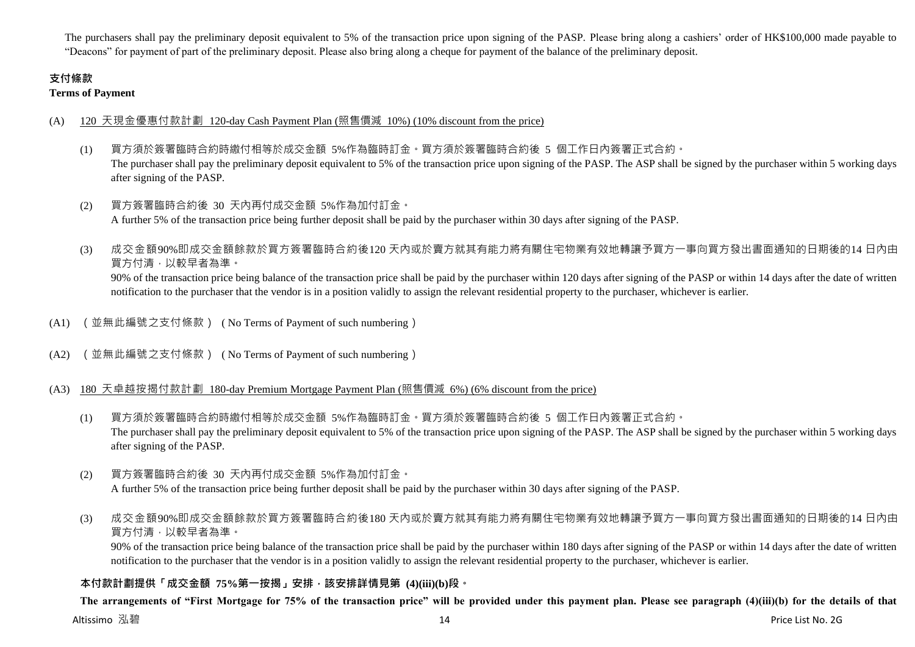The purchasers shall pay the preliminary deposit equivalent to 5% of the transaction price upon signing of the PASP. Please bring along a cashiers' order of HK\$100,000 made payable to "Deacons" for payment of part of the preliminary deposit. Please also bring along a cheque for payment of the balance of the preliminary deposit.

# **支付條款**

**Terms of Payment**

## (A) 120 天現金優惠付款計劃 120-day Cash Payment Plan (照售價減 10%) (10% discount from the price)

- (1) 買方須於簽署臨時合約時繳付相等於成交金額 5%作為臨時訂金。買方須於簽署臨時合約後 5 個工作日內簽署正式合約。 The purchaser shall pay the preliminary deposit equivalent to 5% of the transaction price upon signing of the PASP. The ASP shall be signed by the purchaser within 5 working days after signing of the PASP.
- (2) 買方簽署臨時合約後 30 天內再付成交金額 5%作為加付訂金。 A further 5% of the transaction price being further deposit shall be paid by the purchaser within 30 days after signing of the PASP.
- (3) 成交金額90%即成交金額餘款於買方簽署臨時合約後120 天內或於賣方就其有能力將有關住宅物業有效地轉讓予買方一事向買方發出書面通知的日期後的14 日內由 買方付清,以較早者為準。 90% of the transaction price being balance of the transaction price shall be paid by the purchaser within 120 days after signing of the PASP or within 14 days after the date of written notification to the purchaser that the vendor is in a position validly to assign the relevant residential property to the purchaser, whichever is earlier.
- (A1) (並無此編號之支付條款) ( No Terms of Payment of such numbering)
- (A2) (並無此編號之支付條款) ( No Terms of Payment of such numbering)

## (A3) 180 天卓越按揭付款計劃 180-day Premium Mortgage Payment Plan (照售價減 6%) (6% discount from the price)

- (1) 買方須於簽署臨時合約時繳付相等於成交金額 5%作為臨時訂金。買方須於簽署臨時合約後 5 個工作日內簽署正式合約。 The purchaser shall pay the preliminary deposit equivalent to 5% of the transaction price upon signing of the PASP. The ASP shall be signed by the purchaser within 5 working days after signing of the PASP.
- (2) 買方簽署臨時合約後 30 天內再付成交金額 5%作為加付訂金。 A further 5% of the transaction price being further deposit shall be paid by the purchaser within 30 days after signing of the PASP.
- (3) 成交金額90%即成交金額餘款於買方簽署臨時合約後180 天內或於賣方就其有能力將有關住宅物業有效地轉讓予買方一事向買方發出書面通知的日期後的14 日內由 買方付清,以較早者為準。

90% of the transaction price being balance of the transaction price shall be paid by the purchaser within 180 days after signing of the PASP or within 14 days after the date of written notification to the purchaser that the vendor is in a position validly to assign the relevant residential property to the purchaser, whichever is earlier.

## **本付款計劃提供「成交金額 75%第一按揭」安排,該安排詳情見第 (4)(iii)(b)段。**

**The arrangements of "First Mortgage for 75% of the transaction price" will be provided under this payment plan. Please see paragraph (4)(iii)(b) for the details of that**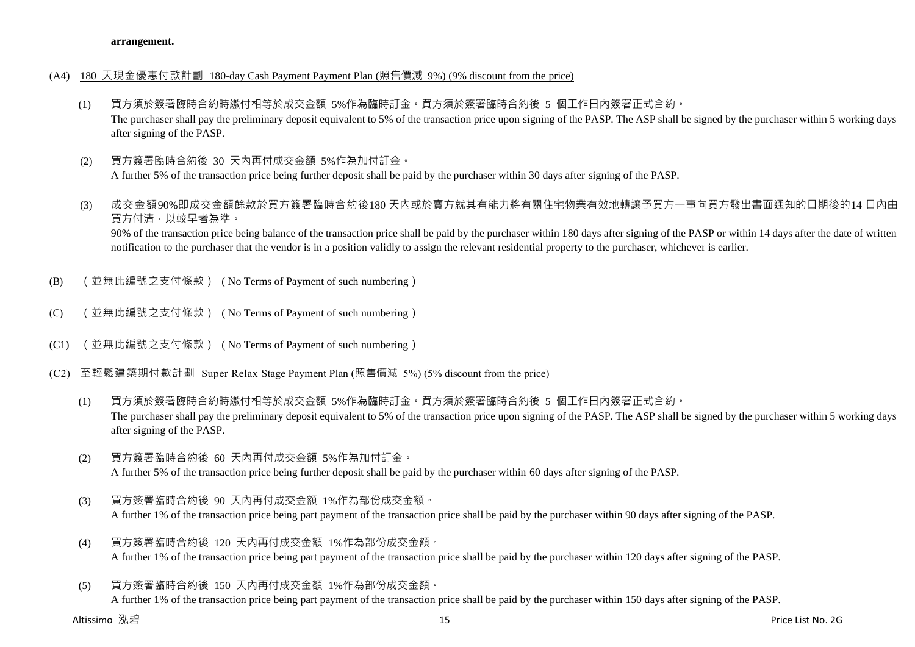#### **arrangement.**

## (A4) 180 天現金優惠付款計劃 180-day Cash Payment Payment Plan (照售價減 9%) (9% discount from the price)

- (1) 買方須於簽署臨時合約時繳付相等於成交金額 5%作為臨時訂金。買方須於簽署臨時合約後 5 個工作日內簽署正式合約。 The purchaser shall pay the preliminary deposit equivalent to 5% of the transaction price upon signing of the PASP. The ASP shall be signed by the purchaser within 5 working days after signing of the PASP.
- (2) 買方簽署臨時合約後 30 天內再付成交金額 5%作為加付訂金。 A further 5% of the transaction price being further deposit shall be paid by the purchaser within 30 days after signing of the PASP.
- (3) 成交金額90%即成交金額餘款於買方簽署臨時合約後180 天內或於賣方就其有能力將有關住宅物業有效地轉讓予買方一事向買方發出書面通知的日期後的14 日內由 買方付清,以較早者為準。

90% of the transaction price being balance of the transaction price shall be paid by the purchaser within 180 days after signing of the PASP or within 14 days after the date of written notification to the purchaser that the vendor is in a position validly to assign the relevant residential property to the purchaser, whichever is earlier.

- (B) (並無此編號之支付條款) ( No Terms of Payment of such numbering)
- (C) (並無此編號之支付條款) ( No Terms of Payment of such numbering)
- (C1) (並無此編號之支付條款) ( No Terms of Payment of such numbering)
- (C2) 至輕鬆建築期付款計劃 Super Relax Stage Payment Plan (照售價減 5%) (5% discount from the price)
	- (1) 買方須於簽署臨時合約時繳付相等於成交金額 5%作為臨時訂金。買方須於簽署臨時合約後 5 個工作日內簽署正式合約。 The purchaser shall pay the preliminary deposit equivalent to 5% of the transaction price upon signing of the PASP. The ASP shall be signed by the purchaser within 5 working days after signing of the PASP.
	- (2) 買方簽署臨時合約後 60 天內再付成交金額 5%作為加付訂金。 A further 5% of the transaction price being further deposit shall be paid by the purchaser within 60 days after signing of the PASP.
	- (3) 買方簽署臨時合約後 90 天內再付成交金額 1%作為部份成交金額。 A further 1% of the transaction price being part payment of the transaction price shall be paid by the purchaser within 90 days after signing of the PASP.
	- (4) 買方簽署臨時合約後 120 天內再付成交金額 1%作為部份成交金額。 A further 1% of the transaction price being part payment of the transaction price shall be paid by the purchaser within 120 days after signing of the PASP.
	- (5) 買方簽署臨時合約後 150 天內再付成交金額 1%作為部份成交金額。

A further 1% of the transaction price being part payment of the transaction price shall be paid by the purchaser within 150 days after signing of the PASP.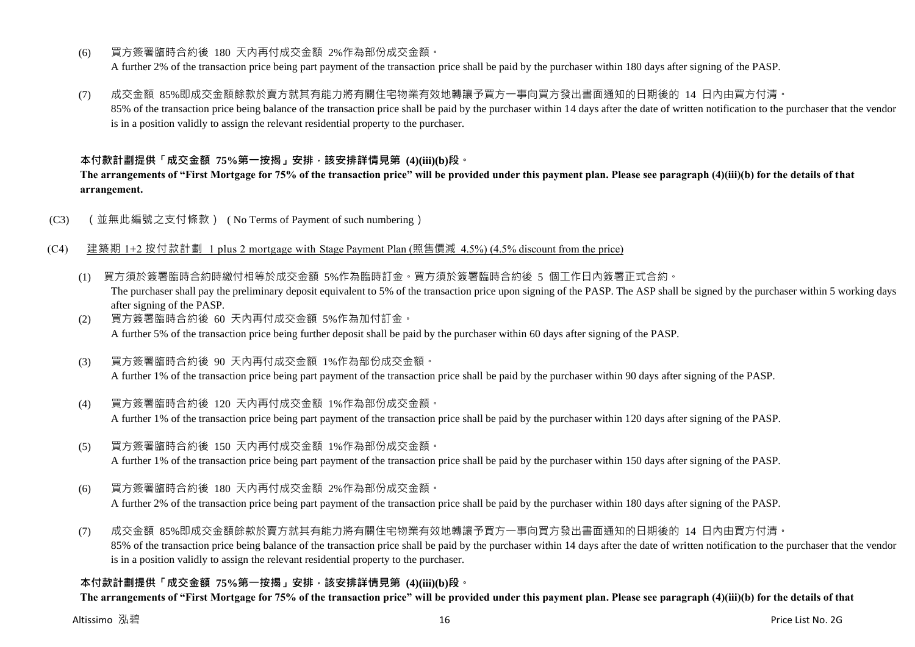- (6) 買方簽署臨時合約後 180 天內再付成交金額 2%作為部份成交金額。 A further 2% of the transaction price being part payment of the transaction price shall be paid by the purchaser within 180 days after signing of the PASP.
- (7) 成交金額 85%即成交金額餘款於賣方就其有能力將有關住宅物業有效地轉讓予買方一事向買方發出書面通知的日期後的 14 日內由買方付清。 85% of the transaction price being balance of the transaction price shall be paid by the purchaser within 14 days after the date of written notification to the purchaser that the vendor

is in a position validly to assign the relevant residential property to the purchaser.

## **本付款計劃提供「成交金額 75%第一按揭」安排,該安排詳情見第 (4)(iii)(b)段。**

**The arrangements of "First Mortgage for 75% of the transaction price" will be provided under this payment plan. Please see paragraph (4)(iii)(b) for the details of that arrangement.**

(C3) (並無此編號之支付條款) ( No Terms of Payment of such numbering)

## (C4) 建築期 1+2 按付款計劃 1 plus 2 mortgage with Stage Payment Plan (照售價減 4.5%) (4.5% discount from the price)

- (1) 買方須於簽署臨時合約時繳付相等於成交金額 5%作為臨時訂金。買方須於簽署臨時合約後 5 個工作日內簽署正式合約。 The purchaser shall pay the preliminary deposit equivalent to 5% of the transaction price upon signing of the PASP. The ASP shall be signed by the purchaser within 5 working days after signing of the PASP.
- (2) 買方簽署臨時合約後 60 天內再付成交金額 5%作為加付訂金。 A further 5% of the transaction price being further deposit shall be paid by the purchaser within 60 days after signing of the PASP.
- (3) 買方簽署臨時合約後 90 天內再付成交金額 1%作為部份成交金額。 A further 1% of the transaction price being part payment of the transaction price shall be paid by the purchaser within 90 days after signing of the PASP.
- (4) 買方簽署臨時合約後 120 天內再付成交金額 1%作為部份成交金額。 A further 1% of the transaction price being part payment of the transaction price shall be paid by the purchaser within 120 days after signing of the PASP.
- (5) 買方簽署臨時合約後 150 天內再付成交金額 1%作為部份成交金額。 A further 1% of the transaction price being part payment of the transaction price shall be paid by the purchaser within 150 days after signing of the PASP.
- (6) 買方簽署臨時合約後 180 天內再付成交金額 2%作為部份成交金額。 A further 2% of the transaction price being part payment of the transaction price shall be paid by the purchaser within 180 days after signing of the PASP.
- (7) 成交金額 85%即成交金額餘款於賣方就其有能力將有關住宅物業有效地轉讓予買方一事向買方發出書面通知的日期後的 14 日內由買方付清。 85% of the transaction price being balance of the transaction price shall be paid by the purchaser within 14 days after the date of written notification to the purchaser that the vendor is in a position validly to assign the relevant residential property to the purchaser.

## **本付款計劃提供「成交金額 75%第一按揭」安排,該安排詳情見第 (4)(iii)(b)段。**

**The arrangements of "First Mortgage for 75% of the transaction price" will be provided under this payment plan. Please see paragraph (4)(iii)(b) for the details of that**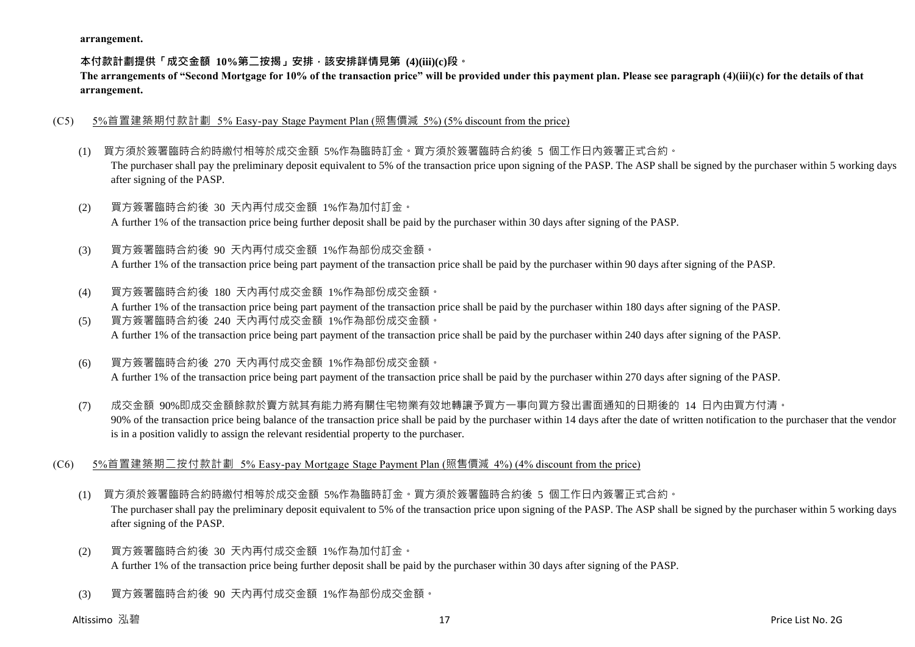**arrangement.**

**本付款計劃提供「成交金額 10%第二按揭」安排,該安排詳情見第 (4)(iii)(c)段。**

**The arrangements of "Second Mortgage for 10% of the transaction price" will be provided under this payment plan. Please see paragraph (4)(iii)(c) for the details of that arrangement.**

- (C5) 5%首置建築期付款計劃 5% Easy-pay Stage Payment Plan (照售價減 5%) (5% discount from the price)
	- (1) 買方須於簽署臨時合約時繳付相等於成交金額 5%作為臨時訂金。買方須於簽署臨時合約後 5 個工作日內簽署正式合約。 The purchaser shall pay the preliminary deposit equivalent to 5% of the transaction price upon signing of the PASP. The ASP shall be signed by the purchaser within 5 working days after signing of the PASP.
	- (2) 買方簽署臨時合約後 30 天內再付成交金額 1%作為加付訂金。 A further 1% of the transaction price being further deposit shall be paid by the purchaser within 30 days after signing of the PASP.
	- (3) 買方簽署臨時合約後 90 天內再付成交金額 1%作為部份成交金額。 A further 1% of the transaction price being part payment of the transaction price shall be paid by the purchaser within 90 days after signing of the PASP.
	- (4) 買方簽署臨時合約後 180 天內再付成交金額 1%作為部份成交金額。 A further 1% of the transaction price being part payment of the transaction price shall be paid by the purchaser within 180 days after signing of the PASP. (5) 買方簽署臨時合約後 240 天內再付成交金額 1%作為部份成交金額。
		- A further 1% of the transaction price being part payment of the transaction price shall be paid by the purchaser within 240 days after signing of the PASP.
	- (6) 買方簽署臨時合約後 270 天內再付成交金額 1%作為部份成交金額。 A further 1% of the transaction price being part payment of the transaction price shall be paid by the purchaser within 270 days after signing of the PASP.
	- (7) 成交金額 90%即成交金額餘款於賣方就其有能力將有關住宅物業有效地轉讓予買方一事向買方發出書面通知的日期後的 14 日內由買方付清。 90% of the transaction price being balance of the transaction price shall be paid by the purchaser within 14 days after the date of written notification to the purchaser that the vendor is in a position validly to assign the relevant residential property to the purchaser.
- (C6) 5%首置建築期二按付款計劃 5% Easy-pay Mortgage Stage Payment Plan (照售價減 4%) (4% discount from the price)
	- (1) 買方須於簽署臨時合約時繳付相等於成交金額 5%作為臨時訂金。買方須於簽署臨時合約後 5 個工作日內簽署正式合約。

The purchaser shall pay the preliminary deposit equivalent to 5% of the transaction price upon signing of the PASP. The ASP shall be signed by the purchaser within 5 working days after signing of the PASP.

- (2) 買方簽署臨時合約後 30 天內再付成交金額 1%作為加付訂金。 A further 1% of the transaction price being further deposit shall be paid by the purchaser within 30 days after signing of the PASP.
- (3) 買方簽署臨時合約後 90 天內再付成交金額 1%作為部份成交金額。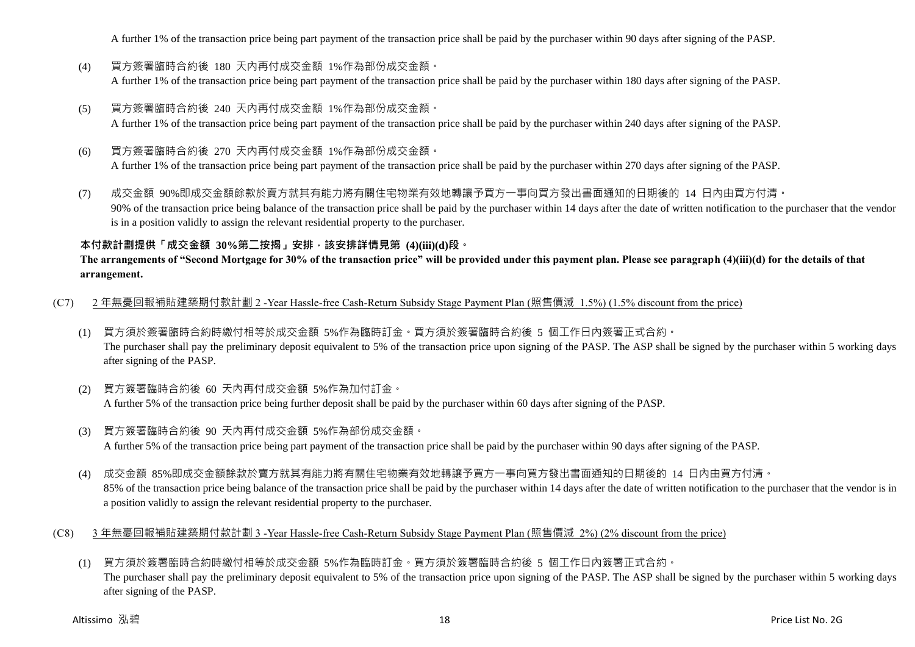A further 1% of the transaction price being part payment of the transaction price shall be paid by the purchaser within 90 days after signing of the PASP.

- (4) 買方簽署臨時合約後 180 天內再付成交金額 1%作為部份成交金額。 A further 1% of the transaction price being part payment of the transaction price shall be paid by the purchaser within 180 days after signing of the PASP.
- (5) 買方簽署臨時合約後 240 天內再付成交金額 1%作為部份成交金額。 A further 1% of the transaction price being part payment of the transaction price shall be paid by the purchaser within 240 days after signing of the PASP.
- (6) 買方簽署臨時合約後 270 天內再付成交金額 1%作為部份成交金額。 A further 1% of the transaction price being part payment of the transaction price shall be paid by the purchaser within 270 days after signing of the PASP.
- (7) 成交金額 90%即成交金額餘款於賣方就其有能力將有關住宅物業有效地轉讓予買方一事向買方發出書面通知的日期後的 14 日內由買方付清。 90% of the transaction price being balance of the transaction price shall be paid by the purchaser within 14 days after the date of written notification to the purchaser that the vendor is in a position validly to assign the relevant residential property to the purchaser.

## **本付款計劃提供「成交金額 30%第二按揭」安排,該安排詳情見第 (4)(iii)(d)段。**

## **The arrangements of "Second Mortgage for 30% of the transaction price" will be provided under this payment plan. Please see paragraph (4)(iii)(d) for the details of that arrangement.**

(C7) 2 年無憂回報補貼建築期付款計劃 2 -Year Hassle-free Cash-Return Subsidy Stage Payment Plan (照售價減 1.5%) (1.5% discount from the price)

- (1) 買方須於簽署臨時合約時繳付相等於成交金額 5%作為臨時訂金。買方須於簽署臨時合約後 5 個工作日內簽署正式合約。 The purchaser shall pay the preliminary deposit equivalent to 5% of the transaction price upon signing of the PASP. The ASP shall be signed by the purchaser within 5 working days after signing of the PASP.
- (2) 買方簽署臨時合約後 60 天內再付成交金額 5%作為加付訂金。 A further 5% of the transaction price being further deposit shall be paid by the purchaser within 60 days after signing of the PASP.
- (3) 買方簽署臨時合約後 90 天內再付成交金額 5%作為部份成交金額。 A further 5% of the transaction price being part payment of the transaction price shall be paid by the purchaser within 90 days after signing of the PASP.
- (4) 成交金額 85%即成交金額餘款於賣方就其有能力將有關住宅物業有效地轉讓予買方一事向買方發出書面通知的日期後的 14 日內由買方付清。 85% of the transaction price being balance of the transaction price shall be paid by the purchaser within 14 days after the date of written notification to the purchaser that the vendor is in a position validly to assign the relevant residential property to the purchaser.
- (C8) 3 年無憂回報補貼建築期付款計劃 3 -Year Hassle-free Cash-Return Subsidy Stage Payment Plan (照售價減 2%) (2% discount from the price)
	- (1) 買方須於簽署臨時合約時繳付相等於成交金額 5%作為臨時訂金。買方須於簽署臨時合約後 5 個工作日內簽署正式合約。 The purchaser shall pay the preliminary deposit equivalent to 5% of the transaction price upon signing of the PASP. The ASP shall be signed by the purchaser within 5 working days after signing of the PASP.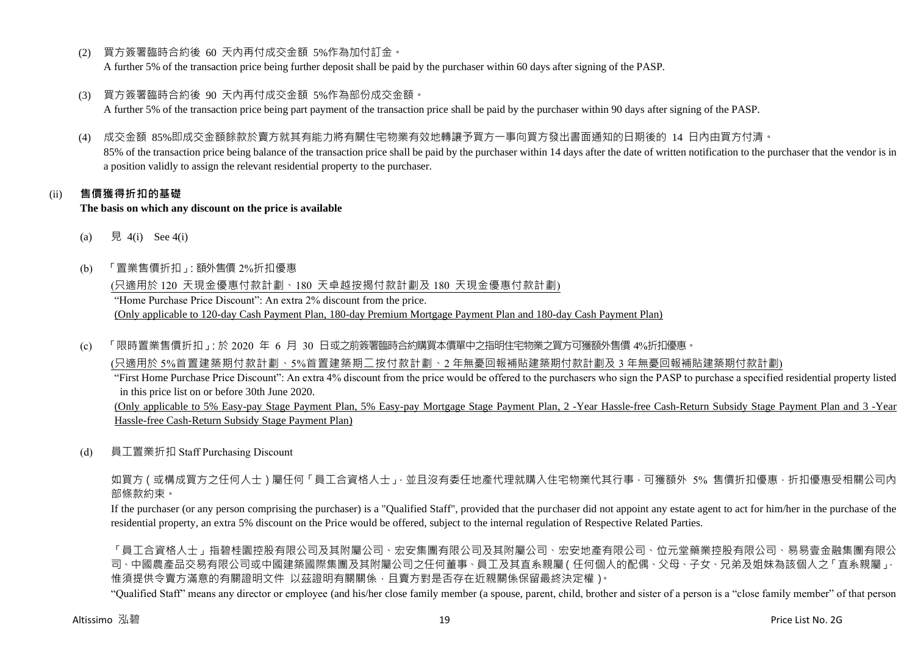- (2) 買方簽署臨時合約後 60 天內再付成交金額 5%作為加付訂金。 A further 5% of the transaction price being further deposit shall be paid by the purchaser within 60 days after signing of the PASP.
- (3) 買方簽署臨時合約後 90 天內再付成交金額 5%作為部份成交金額。

A further 5% of the transaction price being part payment of the transaction price shall be paid by the purchaser within 90 days after signing of the PASP.

(4) 成交金額 85%即成交金額餘款於賣方就其有能力將有關住宅物業有效地轉讓予買方一事向買方發出書面通知的日期後的 14 日內由買方付清。

85% of the transaction price being balance of the transaction price shall be paid by the purchaser within 14 days after the date of written notification to the purchaser that the vendor is in a position validly to assign the relevant residential property to the purchaser.

## (ii) **售價獲得折扣的基礎**

#### **The basis on which any discount on the price is available**

- (a) 見 4(i) See 4(i)
- (b) 「置業售價折扣」:額外售價 2%折扣優惠

(只適用於 120 天現金優惠付款計劃、180 天卓越按揭付款計劃及 180 天現金優惠付款計劃) "Home Purchase Price Discount": An extra 2% discount from the price. (Only applicable to 120-day Cash Payment Plan, 180-day Premium Mortgage Payment Plan and 180-day Cash Payment Plan)

(c) 「限時置業售價折扣」:於 2020 年 6 月 30 日或之前簽署臨時合約購買本價單中之指明住宅物業之買方可獲額外售價 4%折扣優惠。

(只適用於 5%首置建築期付款計劃、5%首置建築期二按付款計劃、2 年無憂回報補貼建築期付款計劃及 3 年無憂回報補貼建築期付款計劃)

"First Home Purchase Price Discount": An extra 4% discount from the price would be offered to the purchasers who sign the PASP to purchase a specified residential property listed in this price list on or before 30th June 2020.

(Only applicable to 5% Easy-pay Stage Payment Plan, 5% Easy-pay Mortgage Stage Payment Plan, 2 -Year Hassle-free Cash-Return Subsidy Stage Payment Plan and 3 -Year Hassle-free Cash-Return Subsidy Stage Payment Plan)

(d) 員工置業折扣 Staff Purchasing Discount

如買方(或構成買方之任何人士)屬任何「員工合資格人士」,並且沒有委任地產代理就購入住宅物業代其行事,可獲額外 5% 售價折扣優惠,折扣優惠受相關公司內 部條款約束。

If the purchaser (or any person comprising the purchaser) is a "Qualified Staff", provided that the purchaser did not appoint any estate agent to act for him/her in the purchase of the residential property, an extra 5% discount on the Price would be offered, subject to the internal regulation of Respective Related Parties.

「員工合資格人士」指碧桂園控股有限公司及其附屬公司、宏安集團有限公司及其附屬公司、宏安地產有限公司、位元堂藥業控股有限公司、易易壹金融集團有限公 司、中國農產品交易有限公司或中國建築國際集團及其附屬公司之任何董事、員工及其直系親屬(任何個人的配偶、父母、子女、兄弟及姐妹為該個人之「直系親屬」, 惟須提供令賣方滿意的有關證明文件 以茲證明有關關係,且賣方對是否存在近親關係保留最終決定權)。

"Qualified Staff" means any director or employee (and his/her close family member (a spouse, parent, child, brother and sister of a person is a "close family member" of that person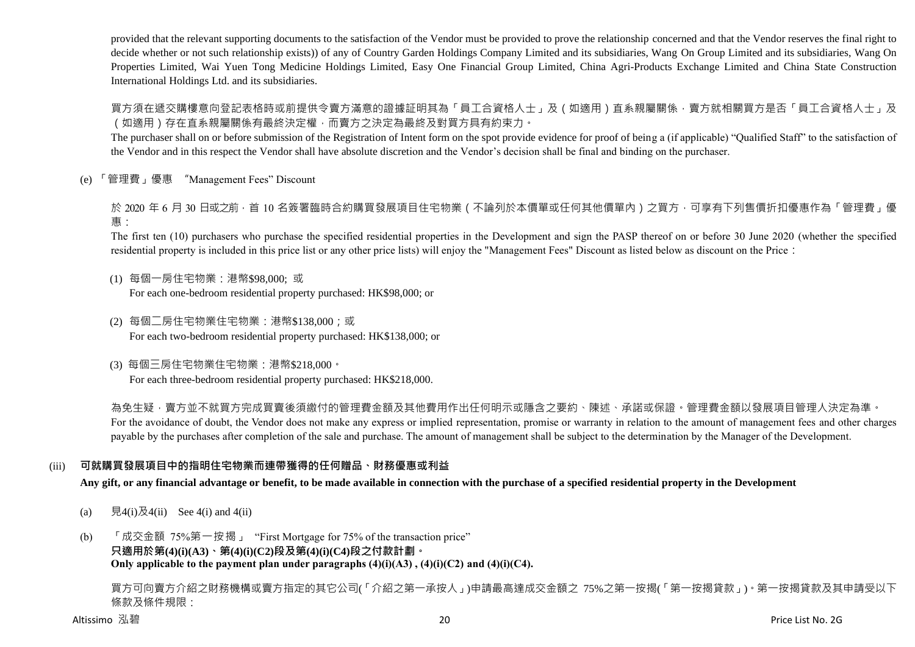provided that the relevant supporting documents to the satisfaction of the Vendor must be provided to prove the relationship concerned and that the Vendor reserves the final right to decide whether or not such relationship exists)) of any of Country Garden Holdings Company Limited and its subsidiaries, Wang On Group Limited and its subsidiaries, Wang On Properties Limited, Wai Yuen Tong Medicine Holdings Limited, Easy One Financial Group Limited, China Agri-Products Exchange Limited and China State Construction International Holdings Ltd. and its subsidiaries.

買方須在遞交購樓意向登記表格時或前提供令賣方滿意的證據証明其為「員工合資格人士」及(如適用)直系親屬關係,賣方就相關買方是否「員工合資格人士」及 (如適用)存在直系親屬關係有最終決定權,而賣方之決定為最終及對買方具有約束力。

The purchaser shall on or before submission of the Registration of Intent form on the spot provide evidence for proof of being a (if applicable) "Qualified Staff" to the satisfaction of the Vendor and in this respect the Vendor shall have absolute discretion and the Vendor's decision shall be final and binding on the purchaser.

(e) 「管理費」優惠 "Management Fees" Discount

於 2020 年 6 月 30 日或之前, 首 10 名簽署臨時合約購買發展項目住宅物業 ( 不論列於本價單或任何其他價單內 ) 之買方, 可享有下列售價折扣優惠作為「管理費」優 惠:

The first ten (10) purchasers who purchase the specified residential properties in the Development and sign the PASP thereof on or before 30 June 2020 (whether the specified residential property is included in this price list or any other price lists) will enjoy the "Management Fees" Discount as listed below as discount on the Price:

- (1) 每個一房住宅物業:港幣\$98,000; 或 For each one-bedroom residential property purchased: HK\$98,000; or
- (2) 每個二房住宅物業住宅物業:港幣\$138,000;或 For each two-bedroom residential property purchased: HK\$138,000; or
- (3) 每個三房住宅物業住宅物業:港幣\$218,000。 For each three-bedroom residential property purchased: HK\$218,000.

為免生疑,賣方並不就買方完成買賣後須繳付的管理費金額及其他費用作出任何明示或隱含之要約、陳述、承諾或保證。管理費金額以發展項目管理人決定為準。 For the avoidance of doubt, the Vendor does not make any express or implied representation, promise or warranty in relation to the amount of management fees and other charges payable by the purchases after completion of the sale and purchase. The amount of management shall be subject to the determination by the Manager of the Development.

## (iii) **可就購買發展項目中的指明住宅物業而連帶獲得的任何贈品、財務優惠或利益**

**Any gift, or any financial advantage or benefit, to be made available in connection with the purchase of a specified residential property in the Development**

- (a)  $\quad \overline{R}4(i)\overline{R}4(ii)$  See 4(i) and 4(ii)
- (b) 「成交金額 75%第一按揭」 "First Mortgage for 75% of the transaction price"

#### **只適用於第(4)(i)(A3)、第(4)(i)(C2)段及第(4)(i)(C4)段之付款計劃。** Only applicable to the payment plan under paragraphs  $(4)(i)(A3)$ ,  $(4)(i)(C2)$  and  $(4)(i)(C4)$ .

買方可向賣方介紹之財務機構或賣方指定的其它公司(「介紹之第一承按人」)申請最高達成交金額之 75%之第一按揭(「第一按揭貸款」)。第一按揭貸款及其申請受以下 條款及條件規限: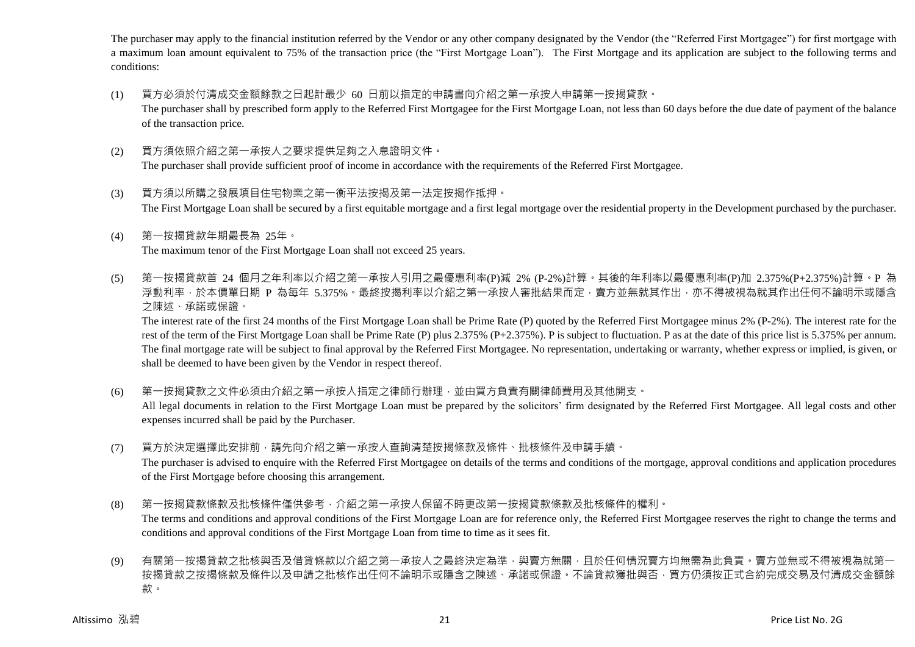The purchaser may apply to the financial institution referred by the Vendor or any other company designated by the Vendor (the "Referred First Mortgagee") for first mortgage with a maximum loan amount equivalent to 75% of the transaction price (the "First Mortgage Loan"). The First Mortgage and its application are subject to the following terms and conditions:

- (1) 買方必須於付清成交金額餘款之日起計最少 60 日前以指定的申請書向介紹之第一承按人申請第一按揭貸款。 The purchaser shall by prescribed form apply to the Referred First Mortgagee for the First Mortgage Loan, not less than 60 days before the due date of payment of the balance of the transaction price.
- (2) 買方須依照介紹之第一承按人之要求提供足夠之入息證明文件。 The purchaser shall provide sufficient proof of income in accordance with the requirements of the Referred First Mortgagee.
- (3) 買方須以所購之發展項目住宅物業之第一衡平法按揭及第一法定按揭作抵押。 The First Mortgage Loan shall be secured by a first equitable mortgage and a first legal mortgage over the residential property in the Development purchased by the purchaser.
- (4) 第一按揭貸款年期最長為 25年。 The maximum tenor of the First Mortgage Loan shall not exceed 25 years.
- (5) 第一按揭貸款首 24 個月之年利率以介紹之第一承按人引用之最優惠利率(P)減 2% (P-2%)計算。其後的年利率以最優惠利率(P)加 2.375%(P+2.375%)計算。P 為 浮動利率,於本價單日期 P 為每年 5.375%。最終按揭利率以介紹之第一承按人審批結果而定,賣方並無就其作出,亦不得被視為就其作出任何不論明示或隱含 之陳述、承諾或保證。

The interest rate of the first 24 months of the First Mortgage Loan shall be Prime Rate (P) quoted by the Referred First Mortgagee minus 2% (P-2%). The interest rate for the rest of the term of the First Mortgage Loan shall be Prime Rate (P) plus 2.375% (P+2.375%). P is subject to fluctuation. P as at the date of this price list is 5.375% per annum. The final mortgage rate will be subject to final approval by the Referred First Mortgagee. No representation, undertaking or warranty, whether express or implied, is given, or shall be deemed to have been given by the Vendor in respect thereof.

(6) 第一按揭貸款之文件必須由介紹之第一承按人指定之律師行辦理,並由買方負責有關律師費用及其他開支。

All legal documents in relation to the First Mortgage Loan must be prepared by the solicitors' firm designated by the Referred First Mortgagee. All legal costs and other expenses incurred shall be paid by the Purchaser.

(7) 買方於決定選擇此安排前,請先向介紹之第一承按人查詢清楚按揭條款及條件、批核條件及申請手續。

The purchaser is advised to enquire with the Referred First Mortgagee on details of the terms and conditions of the mortgage, approval conditions and application procedures of the First Mortgage before choosing this arrangement.

- (8) 第一按揭貸款條款及批核條件僅供參考,介紹之第一承按人保留不時更改第一按揭貸款條款及批核條件的權利。 The terms and conditions and approval conditions of the First Mortgage Loan are for reference only, the Referred First Mortgagee reserves the right to change the terms and conditions and approval conditions of the First Mortgage Loan from time to time as it sees fit.
- (9) 有關第一按揭貸款之批核與否及借貸條款以介紹之第一承按人之最終決定為準,與賣方無關,且於任何情況賣方均無需為此負責。賣方並無或不得被視為就第 按揭貸款之按揭條款及條件以及申請之批核作出任何不論明示或隱含之陳述、承諾或保證。不論貸款獲批與否,買方仍須按正式合約完成交易及付清成交金額餘 款。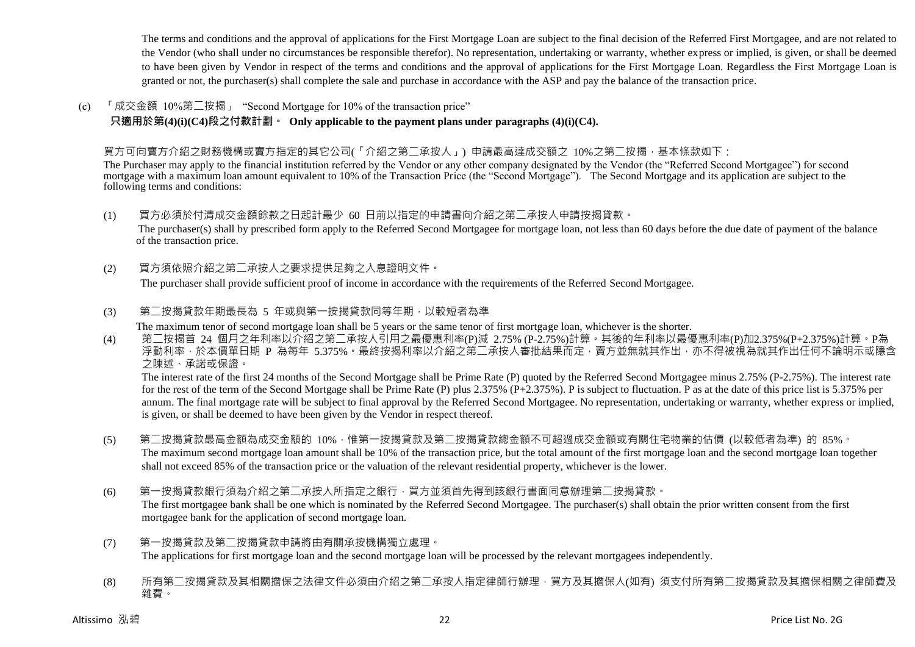The terms and conditions and the approval of applications for the First Mortgage Loan are subject to the final decision of the Referred First Mortgagee, and are not related to the Vendor (who shall under no circumstances be responsible therefor). No representation, undertaking or warranty, whether express or implied, is given, or shall be deemed to have been given by Vendor in respect of the terms and conditions and the approval of applications for the First Mortgage Loan. Regardless the First Mortgage Loan is granted or not, the purchaser(s) shall complete the sale and purchase in accordance with the ASP and pay the balance of the transaction price.

(c) 「成交金額 10%第二按揭」 "Second Mortgage for 10% of the transaction price"

**只適用於第(4)(i)(C4)段之付款計劃。 Only applicable to the payment plans under paragraphs (4)(i)(C4).**

## 買方可向賣方介紹之財務機構或賣方指定的其它公司(「介紹之第二承按人」) 申請最高達成交額之 10%之第二按揭,基本條款如下:

The Purchaser may apply to the financial institution referred by the Vendor or any other company designated by the Vendor (the "Referred Second Mortgagee") for second mortgage with a maximum loan amount equivalent to 10% of the Transaction Price (the "Second Mortgage"). The Second Mortgage and its application are subject to the following terms and conditions:

(1) 買方必須於付清成交金額餘款之日起計最少 60 日前以指定的申請書向介紹之第二承按人申請按揭貸款。

The purchaser(s) shall by prescribed form apply to the Referred Second Mortgagee for mortgage loan, not less than 60 days before the due date of payment of the balance of the transaction price.

(2) 買方須依照介紹之第二承按人之要求提供足夠之入息證明文件。

The purchaser shall provide sufficient proof of income in accordance with the requirements of the Referred Second Mortgagee.

(3) 第二按揭貸款年期最長為 5 年或與第一按揭貸款同等年期,以較短者為準

The maximum tenor of second mortgage loan shall be 5 years or the same tenor of first mortgage loan, whichever is the shorter.

(4) 第二按揭首 24 個月之年利率以介紹之第二承按人引用之最優惠利率(P)減 2.75% (P-2.75%)計算。其後的年利率以最優惠利率(P)加2.375%(P+2.375%)計算。P為 浮動利率,於本價單日期 P 為每年 5.375%。最終按揭利率以介紹之第二承按人審批結果而定,賣方並無就其作出,亦不得被視為就其作出任何不論明示或隱含 之陳述、承諾或保證。

The interest rate of the first 24 months of the Second Mortgage shall be Prime Rate (P) quoted by the Referred Second Mortgagee minus 2.75% (P-2.75%). The interest rate for the rest of the term of the Second Mortgage shall be Prime Rate (P) plus 2.375% (P+2.375%). P is subject to fluctuation. P as at the date of this price list is 5.375% per annum. The final mortgage rate will be subject to final approval by the Referred Second Mortgagee. No representation, undertaking or warranty, whether express or implied, is given, or shall be deemed to have been given by the Vendor in respect thereof.

- (5) 第二按揭貸款最高金額為成交金額的 10%,惟第一按揭貸款及第二按揭貸款總金額不可超過成交金額或有關住宅物業的估價 (以較低者為準) 的 85%。 The maximum second mortgage loan amount shall be 10% of the transaction price, but the total amount of the first mortgage loan and the second mortgage loan together shall not exceed 85% of the transaction price or the valuation of the relevant residential property, whichever is the lower.
- (6) 第一按揭貸款銀行須為介紹之第二承按人所指定之銀行,買方並須首先得到該銀行書面同意辦理第二按揭貸款。 The first mortgagee bank shall be one which is nominated by the Referred Second Mortgagee. The purchaser(s) shall obtain the prior written consent from the first mortgagee bank for the application of second mortgage loan.
- (7) 第一按揭貸款及第二按揭貸款申請將由有關承按機構獨立處理。 The applications for first mortgage loan and the second mortgage loan will be processed by the relevant mortgagees independently.
- (8) 所有第二按揭貸款及其相關擔保之法律文件必須由介紹之第二承按人指定律師行辦理,買方及其擔保人(如有) 須支付所有第二按揭貸款及其擔保相關之律師費及 雜費。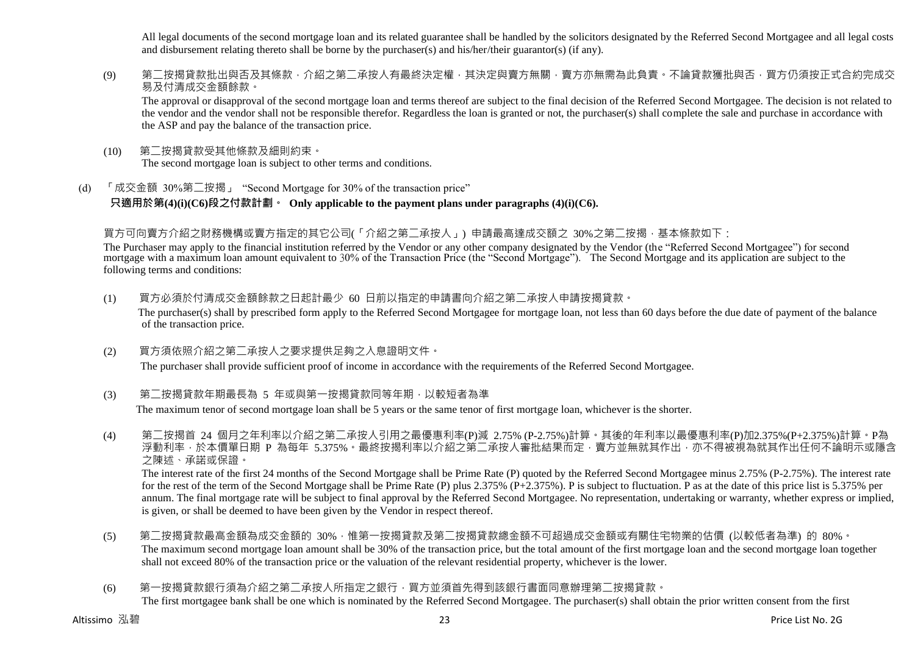All legal documents of the second mortgage loan and its related guarantee shall be handled by the solicitors designated by the Referred Second Mortgagee and all legal costs and disbursement relating thereto shall be borne by the purchaser(s) and his/her/their guarantor(s) (if any).

(9) 第二按揭貸款批出與否及其條款,介紹之第二承按人有最終決定權,其決定與賣方無關,賣方亦無需為此負責。不論貸款獲批與否,買方仍須按正式合約完成交 易及付清成交金額餘款。

The approval or disapproval of the second mortgage loan and terms thereof are subject to the final decision of the Referred Second Mortgagee. The decision is not related to the vendor and the vendor shall not be responsible therefor. Regardless the loan is granted or not, the purchaser(s) shall complete the sale and purchase in accordance with the ASP and pay the balance of the transaction price.

- (10) 第二按揭貸款受其他條款及細則約束。 The second mortgage loan is subject to other terms and conditions.
- (d) 「成交金額 30%第二按揭」 "Second Mortgage for 30% of the transaction price" **只適用於第(4)(i)(C6)段之付款計劃。 Only applicable to the payment plans under paragraphs (4)(i)(C6).**

## 買方可向賣方介紹之財務機構或賣方指定的其它公司(「介紹之第二承按人」) 申請最高達成交額之 30%之第二按揭,基本條款如下:

The Purchaser may apply to the financial institution referred by the Vendor or any other company designated by the Vendor (the "Referred Second Mortgagee") for second mortgage with a maximum loan amount equivalent to 30% of the Transaction Price (the "Second Mortgage"). The Second Mortgage and its application are subject to the following terms and conditions:

- (1) 買方必須於付清成交金額餘款之日起計最少 60 日前以指定的申請書向介紹之第二承按人申請按揭貸款。 The purchaser(s) shall by prescribed form apply to the Referred Second Mortgagee for mortgage loan, not less than 60 days before the due date of payment of the balance of the transaction price.
- (2) 買方須依照介紹之第二承按人之要求提供足夠之入息證明文件。

The purchaser shall provide sufficient proof of income in accordance with the requirements of the Referred Second Mortgagee.

(3) 第二按揭貸款年期最長為 5 年或與第一按揭貸款同等年期,以較短者為準

The maximum tenor of second mortgage loan shall be 5 years or the same tenor of first mortgage loan, whichever is the shorter.

(4) 第二按揭首 24 個月之年利率以介紹之第二承按人引用之最優惠利率(P)減 2.75% (P-2.75%)計算。其後的年利率以最優惠利率(P)加2.375%(P+2.375%)計算。P為 浮動利率,於本價單日期 P 為每年 5.375%。最終按揭利率以介紹之第二承按人審批結果而定,賣方並無就其作出,亦不得被視為就其作出任何不論明示或隱含 之陳述、承諾或保證。

The interest rate of the first 24 months of the Second Mortgage shall be Prime Rate (P) quoted by the Referred Second Mortgagee minus 2.75% (P-2.75%). The interest rate for the rest of the term of the Second Mortgage shall be Prime Rate (P) plus 2.375% (P+2.375%). P is subject to fluctuation. P as at the date of this price list is 5.375% per annum. The final mortgage rate will be subject to final approval by the Referred Second Mortgagee. No representation, undertaking or warranty, whether express or implied, is given, or shall be deemed to have been given by the Vendor in respect thereof.

- (5) 第二按揭貸款最高金額為成交金額的 30%,惟第一按揭貸款及第二按揭貸款總金額不可超過成交金額或有關住宅物業的估價 (以較低者為準) 的 80%。 The maximum second mortgage loan amount shall be 30% of the transaction price, but the total amount of the first mortgage loan and the second mortgage loan together shall not exceed 80% of the transaction price or the valuation of the relevant residential property, whichever is the lower.
- (6) 第一按揭貸款銀行須為介紹之第二承按人所指定之銀行,買方並須首先得到該銀行書面同意辦理第二按揭貸款。 The first mortgagee bank shall be one which is nominated by the Referred Second Mortgagee. The purchaser(s) shall obtain the prior written consent from the first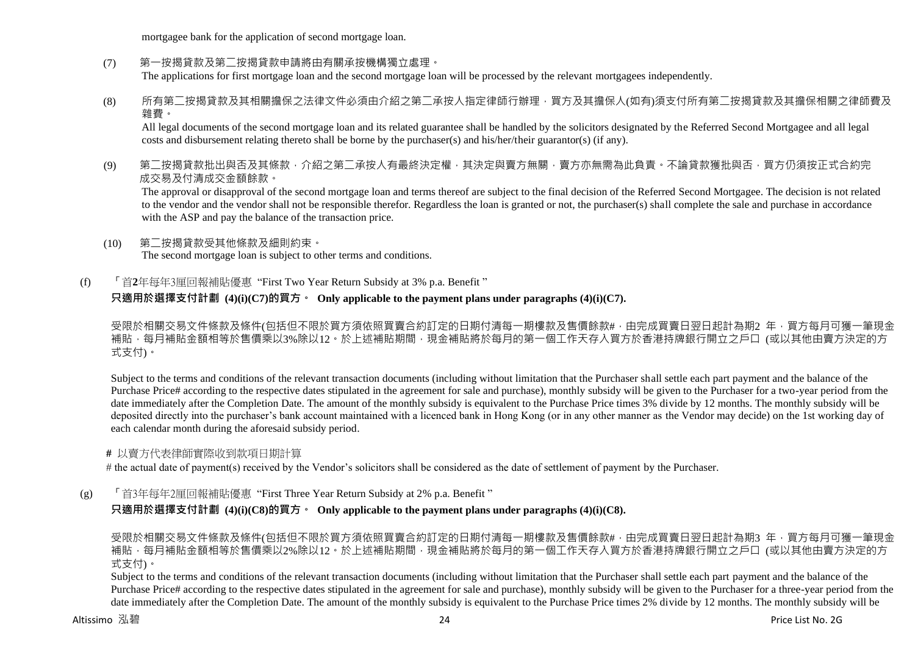mortgagee bank for the application of second mortgage loan.

(7) 第一按揭貸款及第二按揭貸款申請將由有關承按機構獨立處理。

The applications for first mortgage loan and the second mortgage loan will be processed by the relevant mortgagees independently.

(8) 所有第二按揭貸款及其相關擔保之法律文件必須由介紹之第二承按人指定律師行辦理,買方及其擔保人(如有)須支付所有第二按揭貸款及其擔保相關之律師費及 雜費。

All legal documents of the second mortgage loan and its related guarantee shall be handled by the solicitors designated by the Referred Second Mortgagee and all legal costs and disbursement relating thereto shall be borne by the purchaser(s) and his/her/their guarantor(s) (if any).

(9) 第二按揭貸款批出與否及其條款,介紹之第二承按人有最終決定權,其決定與賣方無關,賣方亦無需為此負責。不論貸款獲批與否,買方仍須按正式合約完 成交易及付清成交金額餘款。

The approval or disapproval of the second mortgage loan and terms thereof are subject to the final decision of the Referred Second Mortgagee. The decision is not related to the vendor and the vendor shall not be responsible therefor. Regardless the loan is granted or not, the purchaser(s) shall complete the sale and purchase in accordance with the ASP and pay the balance of the transaction price.

- (10) 第二按揭貸款受其他條款及細則約束。 The second mortgage loan is subject to other terms and conditions.
- (f) 「首**2**年每年3厘回報補貼優惠 "First Two Year Return Subsidy at 3% p.a. Benefit "

## **只適用於選擇支付計劃 (4)(i)(C7)的買方。 Only applicable to the payment plans under paragraphs (4)(i)(C7).**

受限於相關交易文件條款及條件(包括但不限於買方須依照買賣合約訂定的日期付清每一期樓款及售價餘款#,由完成買賣日翌日起計為期2 年,買方每月可獲一筆現金 補貼,每月補貼金額相等於售價乘以3%除以12。於上述補貼期間,現金補貼將於每月的第一個工作天存入買方於香港持牌銀行開立之戶口 (或以其他由賣方決定的方 式支付)。

Subject to the terms and conditions of the relevant transaction documents (including without limitation that the Purchaser shall settle each part payment and the balance of the Purchase Price# according to the respective dates stipulated in the agreement for sale and purchase), monthly subsidy will be given to the Purchaser for a two-year period from the date immediately after the Completion Date. The amount of the monthly subsidy is equivalent to the Purchase Price times 3% divide by 12 months. The monthly subsidy will be deposited directly into the purchaser's bank account maintained with a licenced bank in Hong Kong (or in any other manner as the Vendor may decide) on the 1st working day of each calendar month during the aforesaid subsidy period.

## **#** 以賣方代表律師實際收到款項日期計算

# the actual date of payment(s) received by the Vendor's solicitors shall be considered as the date of settlement of payment by the Purchaser.

(g) 「首3年每年2厘回報補貼優惠 "First Three Year Return Subsidy at 2% p.a. Benefit "

**只適用於選擇支付計劃 (4)(i)(C8)的買方。 Only applicable to the payment plans under paragraphs (4)(i)(C8).**

受限於相關交易文件條款及條件(包括但不限於買方須依照買賣合約訂定的日期付清每一期樓款及售價餘款#,由完成買賣日翌日起計為期3 年,買方每月可獲一筆現金 補貼,每月補貼金額相等於售價乘以2%除以12。於上述補貼期間,現金補貼將於每月的第一個工作天存入買方於香港持牌銀行開立之戶口 (或以其他由賣方決定的方 式支付)。

Subject to the terms and conditions of the relevant transaction documents (including without limitation that the Purchaser shall settle each part payment and the balance of the Purchase Price# according to the respective dates stipulated in the agreement for sale and purchase), monthly subsidy will be given to the Purchaser for a three-year period from the date immediately after the Completion Date. The amount of the monthly subsidy is equivalent to the Purchase Price times 2% divide by 12 months. The monthly subsidy will be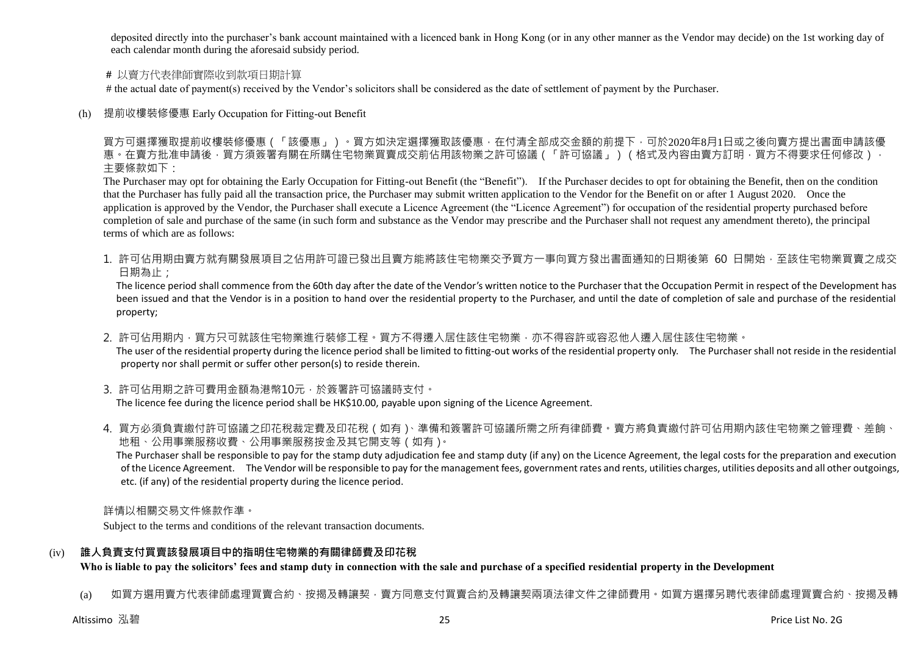deposited directly into the purchaser's bank account maintained with a licenced bank in Hong Kong (or in any other manner as the Vendor may decide) on the 1st working day of each calendar month during the aforesaid subsidy period.

#### **#** 以賣方代表律師實際收到款項日期計算

# the actual date of payment(s) received by the Vendor's solicitors shall be considered as the date of settlement of payment by the Purchaser.

(h) 提前收樓裝修優惠 Early Occupation for Fitting-out Benefit

買方可選擇獲取提前收樓裝修優惠(「該優惠」)。買方如決定選擇獲取該優惠,在付清全部成交金額的前提下,可於2020年8月1日或之後向賣方提出書面申請該優 惠。在賣方批准申請後,買方須簽署有關在所購住宅物業買賣成交前佔用該物業之許可協議(「許可協議」)(格式及內容由賣方訂明,買方不得要求任何修改)。 主要條款如下:

The Purchaser may opt for obtaining the Early Occupation for Fitting-out Benefit (the "Benefit"). If the Purchaser decides to opt for obtaining the Benefit, then on the condition that the Purchaser has fully paid all the transaction price, the Purchaser may submit written application to the Vendor for the Benefit on or after 1 August 2020. Once the application is approved by the Vendor, the Purchaser shall execute a Licence Agreement (the "Licence Agreement") for occupation of the residential property purchased before completion of sale and purchase of the same (in such form and substance as the Vendor may prescribe and the Purchaser shall not request any amendment thereto), the principal terms of which are as follows:

1. 許可佔用期由賣方就有關發展項目之佔用許可證已發出目賣方能將該住宅物業交予買方一事向買方發出書面通知的日期後第 60 日開始,至該住宅物業買賣之成交 日期為止;

The licence period shall commence from the 60th day after the date of the Vendor's written notice to the Purchaser that the Occupation Permit in respect of the Development has been issued and that the Vendor is in a position to hand over the residential property to the Purchaser, and until the date of completion of sale and purchase of the residential property;

2. 許可佔用期内,買方只可就該住宅物業進行裝修工程。買方不得遷入居住該住宅物業,亦不得容許或容忍他人遷入居住該住宅物業。

The user of the residential property during the licence period shall be limited to fitting-out works of the residential property only. The Purchaser shall not reside in the residential property nor shall permit or suffer other person(s) to reside therein.

3. 許可佔用期之許可費用金額為港幣10元,於簽署許可協議時支付。

The licence fee during the licence period shall be HK\$10.00, payable upon signing of the Licence Agreement.

4. 買方必須負責繳付許可協議之印花稅裁定費及印花稅 (如有)、準備和簽署許可協議所需之所有律師費。賣方將負責繳付許可佔用期內該住宅物業之管理費、差餉、 地租、公用事業服務收費、公用事業服務按金及其它開支等(如有)。

The Purchaser shall be responsible to pay for the stamp duty adjudication fee and stamp duty (if any) on the Licence Agreement, the legal costs for the preparation and execution of the Licence Agreement. The Vendor will be responsible to pay for the management fees, government rates and rents, utilities charges, utilities deposits and all other outgoings, etc. (if any) of the residential property during the licence period.

詳情以相關交易文件條款作準。

Subject to the terms and conditions of the relevant transaction documents.

## (iv) **誰人負責支付買賣該發展項目中的指明住宅物業的有關律師費及印花稅**

**Who is liable to pay the solicitors' fees and stamp duty in connection with the sale and purchase of a specified residential property in the Development**

(a) 如買方選用賣方代表律師處理買賣合約、按揭及轉讓契,賣方同意支付買賣合約及轉讓契兩項法律文件之律師費用。如買方選擇另聘代表律師處理買賣合約、按揭及轉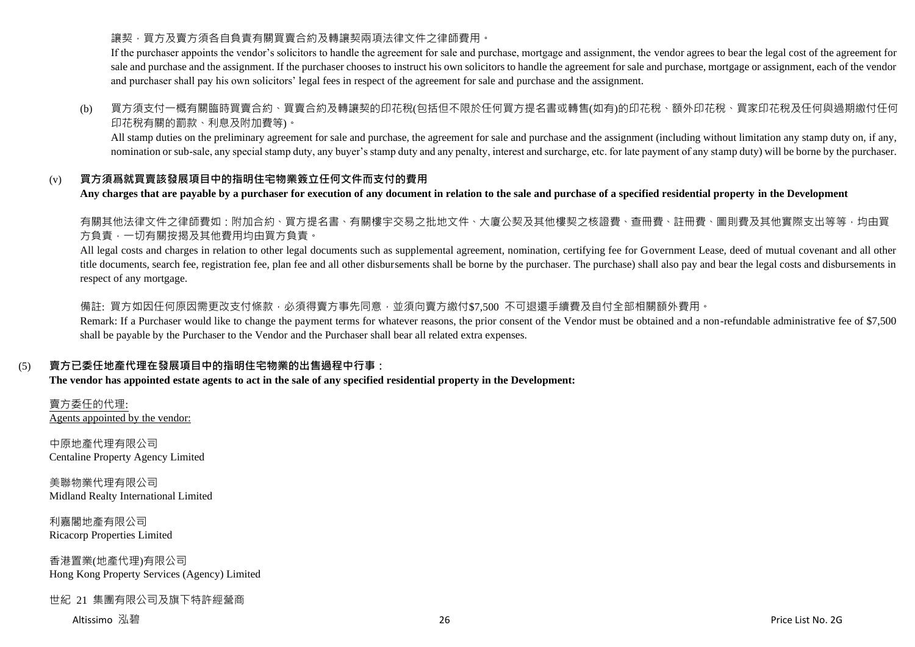## 讓契,買方及賣方須各自負責有關買賣合約及轉讓契兩項法律文件之律師費用。

If the purchaser appoints the vendor's solicitors to handle the agreement for sale and purchase, mortgage and assignment, the vendor agrees to bear the legal cost of the agreement for sale and purchase and the assignment. If the purchaser chooses to instruct his own solicitors to handle the agreement for sale and purchase, mortgage or assignment, each of the vendor and purchaser shall pay his own solicitors' legal fees in respect of the agreement for sale and purchase and the assignment.

## (b) 買方須支付一概有關臨時買賣合約、買賣合約及轉讓契的印花稅(包括但不限於任何買方提名書或轉售(如有)的印花稅、額外印花稅、買家印花稅及任何與過期繳付任何 印花稅有關的罰款、利息及附加費等)。

All stamp duties on the preliminary agreement for sale and purchase, the agreement for sale and purchase and the assignment (including without limitation any stamp duty on, if any, nomination or sub-sale, any special stamp duty, any buyer's stamp duty and any penalty, interest and surcharge, etc. for late payment of any stamp duty) will be borne by the purchaser.

## (v) **買方須爲就買賣該發展項目中的指明住宅物業簽立任何文件而支付的費用**

#### **Any charges that are payable by a purchaser for execution of any document in relation to the sale and purchase of a specified residential property in the Development**

有關其他法律文件之律師費如:附加合約、買方提名書、有關樓宇交易之批地文件、大廈公契及其他樓契之核證費、查冊費、註冊費、圖則費及其他實際支出等等,均由買 方負責,一切有關按揭及其他費用均由買方負責。

All legal costs and charges in relation to other legal documents such as supplemental agreement, nomination, certifying fee for Government Lease, deed of mutual covenant and all other title documents, search fee, registration fee, plan fee and all other disbursements shall be borne by the purchaser. The purchase) shall also pay and bear the legal costs and disbursements in respect of any mortgage.

備註: 買方如因任何原因需更改支付條款,必須得賣方事先同意,並須向賣方繳付\$7,500 不可狠還手續費及自付全部相關額外費用。

Remark: If a Purchaser would like to change the payment terms for whatever reasons, the prior consent of the Vendor must be obtained and a non-refundable administrative fee of \$7,500 shall be payable by the Purchaser to the Vendor and the Purchaser shall bear all related extra expenses.

## (5) **賣方已委任地產代理在發展項目中的指明住宅物業的出售過程中行事:**

**The vendor has appointed estate agents to act in the sale of any specified residential property in the Development:**

賣方委任的代理: Agents appointed by the vendor:

中原地產代理有限公司 Centaline Property Agency Limited

美聯物業代理有限公司 Midland Realty International Limited

利嘉閣地產有限公司 Ricacorp Properties Limited

香港置業(地產代理)有限公司 Hong Kong Property Services (Agency) Limited

## 世紀 21 集團有限公司及旗下特許經營商